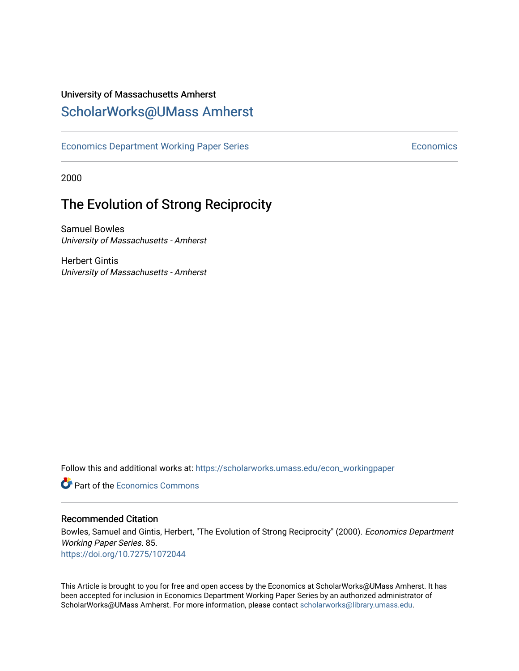## University of Massachusetts Amherst [ScholarWorks@UMass Amherst](https://scholarworks.umass.edu/)

[Economics Department Working Paper Series](https://scholarworks.umass.edu/econ_workingpaper) **Economics** Economics

2000

# The Evolution of Strong Reciprocity

Samuel Bowles University of Massachusetts - Amherst

Herbert Gintis University of Massachusetts - Amherst

Follow this and additional works at: [https://scholarworks.umass.edu/econ\\_workingpaper](https://scholarworks.umass.edu/econ_workingpaper?utm_source=scholarworks.umass.edu%2Fecon_workingpaper%2F85&utm_medium=PDF&utm_campaign=PDFCoverPages) 

**C** Part of the [Economics Commons](http://network.bepress.com/hgg/discipline/340?utm_source=scholarworks.umass.edu%2Fecon_workingpaper%2F85&utm_medium=PDF&utm_campaign=PDFCoverPages)

#### Recommended Citation

Bowles, Samuel and Gintis, Herbert, "The Evolution of Strong Reciprocity" (2000). Economics Department Working Paper Series. 85. <https://doi.org/10.7275/1072044>

This Article is brought to you for free and open access by the Economics at ScholarWorks@UMass Amherst. It has been accepted for inclusion in Economics Department Working Paper Series by an authorized administrator of ScholarWorks@UMass Amherst. For more information, please contact [scholarworks@library.umass.edu.](mailto:scholarworks@library.umass.edu)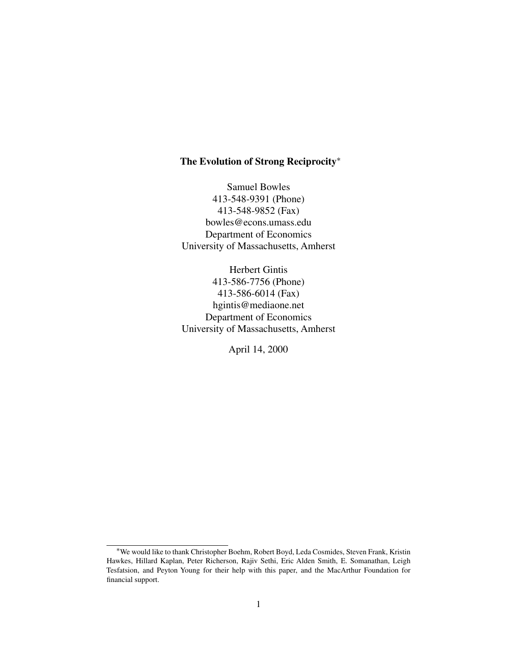## **The Evolution of Strong Reciprocity**∗

Samuel Bowles 413-548-9391 (Phone) 413-548-9852 (Fax) bowles@econs.umass.edu Department of Economics University of Massachusetts, Amherst

Herbert Gintis 413-586-7756 (Phone) 413-586-6014 (Fax) hgintis@mediaone.net Department of Economics University of Massachusetts, Amherst

April 14, 2000

<sup>∗</sup>We would like to thank Christopher Boehm, Robert Boyd, Leda Cosmides, Steven Frank, Kristin Hawkes, Hillard Kaplan, Peter Richerson, Rajiv Sethi, Eric Alden Smith, E. Somanathan, Leigh Tesfatsion, and Peyton Young for their help with this paper, and the MacArthur Foundation for financial support.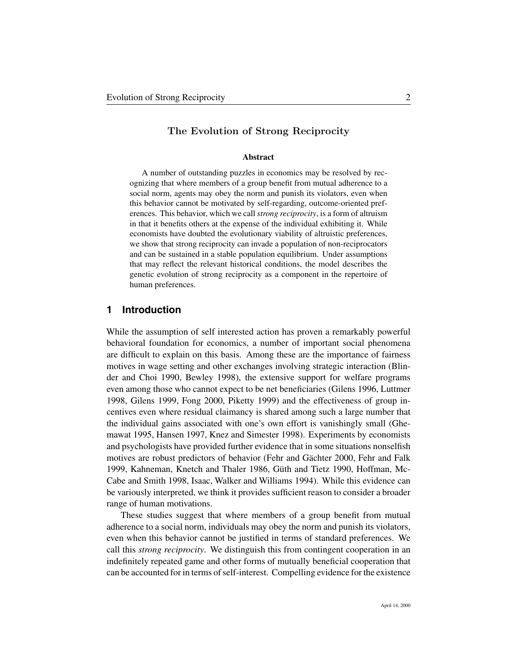#### **The Evolution of Strong Reciprocity**

#### **Abstract**

A number of outstanding puzzles in economics may be resolved by recognizing that where members of a group benefit from mutual adherence to a social norm, agents may obey the norm and punish its violators, even when this behavior cannot be motivated by self-regarding, outcome-oriented preferences. This behavior, which we call *strong reciprocity*, is a form of altruism in that it benefits others at the expense of the individual exhibiting it. While economists have doubted the evolutionary viability of altruistic preferences, we show that strong reciprocity can invade a population of non-reciprocators and can be sustained in a stable population equilibrium. Under assumptions that may reflect the relevant historical conditions, the model describes the genetic evolution of strong reciprocity as a component in the repertoire of human preferences.

#### **1 Introduction**

While the assumption of self interested action has proven a remarkably powerful behavioral foundation for economics, a number of important social phenomena are difficult to explain on this basis. Among these are the importance of fairness motives in wage setting and other exchanges involving strategic interaction (Blinder and Choi 1990, Bewley 1998), the extensive support for welfare programs even among those who cannot expect to be net beneficiaries (Gilens 1996, Luttmer 1998, Gilens 1999, Fong 2000, Piketty 1999) and the effectiveness of group incentives even where residual claimancy is shared among such a large number that the individual gains associated with one's own effort is vanishingly small (Ghemawat 1995, Hansen 1997, Knez and Simester 1998). Experiments by economists and psychologists have provided further evidence that in some situations nonselfish motives are robust predictors of behavior (Fehr and Gächter 2000, Fehr and Falk 1999, Kahneman, Knetch and Thaler 1986, Güth and Tietz 1990, Hoffman, Mc-Cabe and Smith 1998, Isaac, Walker and Williams 1994). While this evidence can be variously interpreted, we think it provides sufficient reason to consider a broader range of human motivations.

These studies suggest that where members of a group benefit from mutual adherence to a social norm, individuals may obey the norm and punish its violators, even when this behavior cannot be justified in terms of standard preferences. We call this *strong reciprocity*. We distinguish this from contingent cooperation in an indefinitely repeated game and other forms of mutually beneficial cooperation that can be accounted for in terms of self-interest. Compelling evidence for the existence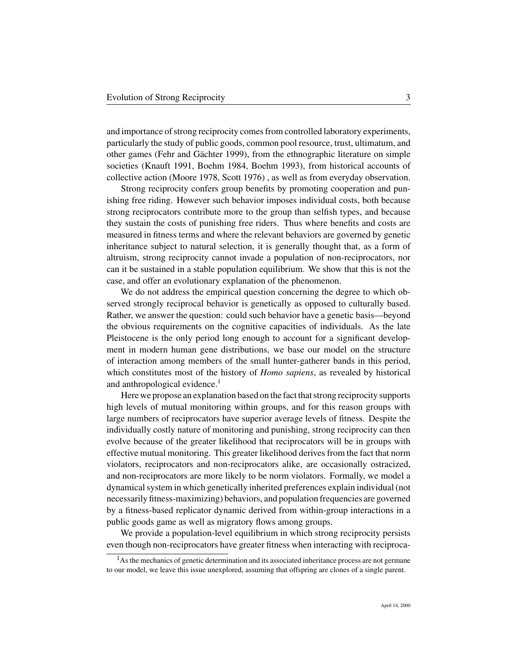and importance of strong reciprocity comes from controlled laboratory experiments, particularly the study of public goods, common pool resource, trust, ultimatum, and other games (Fehr and Gächter 1999), from the ethnographic literature on simple societies (Knauft 1991, Boehm 1984, Boehm 1993), from historical accounts of collective action (Moore 1978, Scott 1976) , as well as from everyday observation.

Strong reciprocity confers group benefits by promoting cooperation and punishing free riding. However such behavior imposes individual costs, both because strong reciprocators contribute more to the group than selfish types, and because they sustain the costs of punishing free riders. Thus where benefits and costs are measured in fitness terms and where the relevant behaviors are governed by genetic inheritance subject to natural selection, it is generally thought that, as a form of altruism, strong reciprocity cannot invade a population of non-reciprocators, nor can it be sustained in a stable population equilibrium. We show that this is not the case, and offer an evolutionary explanation of the phenomenon.

We do not address the empirical question concerning the degree to which observed strongly reciprocal behavior is genetically as opposed to culturally based. Rather, we answer the question: could such behavior have a genetic basis—beyond the obvious requirements on the cognitive capacities of individuals. As the late Pleistocene is the only period long enough to account for a significant development in modern human gene distributions, we base our model on the structure of interaction among members of the small hunter-gatherer bands in this period, which constitutes most of the history of *Homo sapiens*, as revealed by historical and anthropological evidence.<sup>1</sup>

Here we propose an explanation based on the fact that strong reciprocity supports high levels of mutual monitoring within groups, and for this reason groups with large numbers of reciprocators have superior average levels of fitness. Despite the individually costly nature of monitoring and punishing, strong reciprocity can then evolve because of the greater likelihood that reciprocators will be in groups with effective mutual monitoring. This greater likelihood derives from the fact that norm violators, reciprocators and non-reciprocators alike, are occasionally ostracized, and non-reciprocators are more likely to be norm violators. Formally, we model a dynamical system in which genetically inherited preferences explain individual (not necessarily fitness-maximizing) behaviors, and population frequencies are governed by a fitness-based replicator dynamic derived from within-group interactions in a public goods game as well as migratory flows among groups.

We provide a population-level equilibrium in which strong reciprocity persists even though non-reciprocators have greater fitness when interacting with reciproca-

<sup>&</sup>lt;sup>1</sup>As the mechanics of genetic determination and its associated inheritance process are not germane to our model, we leave this issue unexplored, assuming that offspring are clones of a single parent.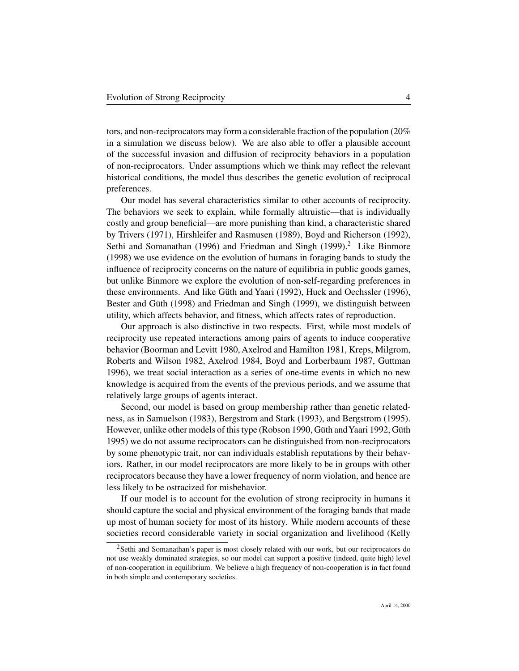tors, and non-reciprocators may form a considerable fraction of the population (20% in a simulation we discuss below). We are also able to offer a plausible account of the successful invasion and diffusion of reciprocity behaviors in a population of non-reciprocators. Under assumptions which we think may reflect the relevant historical conditions, the model thus describes the genetic evolution of reciprocal preferences.

Our model has several characteristics similar to other accounts of reciprocity. The behaviors we seek to explain, while formally altruistic—that is individually costly and group beneficial—are more punishing than kind, a characteristic shared by Trivers (1971), Hirshleifer and Rasmusen (1989), Boyd and Richerson (1992), Sethi and Somanathan (1996) and Friedman and Singh (1999).<sup>2</sup> Like Binmore (1998) we use evidence on the evolution of humans in foraging bands to study the influence of reciprocity concerns on the nature of equilibria in public goods games, but unlike Binmore we explore the evolution of non-self-regarding preferences in these environments. And like Güth and Yaari (1992), Huck and Oechssler (1996), Bester and Güth (1998) and Friedman and Singh (1999), we distinguish between utility, which affects behavior, and fitness, which affects rates of reproduction.

Our approach is also distinctive in two respects. First, while most models of reciprocity use repeated interactions among pairs of agents to induce cooperative behavior (Boorman and Levitt 1980, Axelrod and Hamilton 1981, Kreps, Milgrom, Roberts and Wilson 1982, Axelrod 1984, Boyd and Lorberbaum 1987, Guttman 1996), we treat social interaction as a series of one-time events in which no new knowledge is acquired from the events of the previous periods, and we assume that relatively large groups of agents interact.

Second, our model is based on group membership rather than genetic relatedness, as in Samuelson (1983), Bergstrom and Stark (1993), and Bergstrom (1995). However, unlike other models of this type (Robson 1990, Güth andYaari 1992, Güth 1995) we do not assume reciprocators can be distinguished from non-reciprocators by some phenotypic trait, nor can individuals establish reputations by their behaviors. Rather, in our model reciprocators are more likely to be in groups with other reciprocators because they have a lower frequency of norm violation, and hence are less likely to be ostracized for misbehavior.

If our model is to account for the evolution of strong reciprocity in humans it should capture the social and physical environment of the foraging bands that made up most of human society for most of its history. While modern accounts of these societies record considerable variety in social organization and livelihood (Kelly

<sup>&</sup>lt;sup>2</sup>Sethi and Somanathan's paper is most closely related with our work, but our reciprocators do not use weakly dominated strategies, so our model can support a positive (indeed, quite high) level of non-cooperation in equilibrium. We believe a high frequency of non-cooperation is in fact found in both simple and contemporary societies.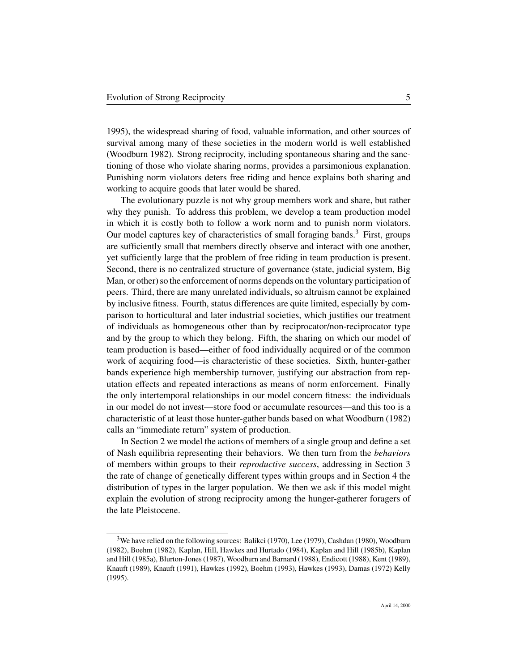1995), the widespread sharing of food, valuable information, and other sources of survival among many of these societies in the modern world is well established (Woodburn 1982). Strong reciprocity, including spontaneous sharing and the sanctioning of those who violate sharing norms, provides a parsimonious explanation. Punishing norm violators deters free riding and hence explains both sharing and working to acquire goods that later would be shared.

The evolutionary puzzle is not why group members work and share, but rather why they punish. To address this problem, we develop a team production model in which it is costly both to follow a work norm and to punish norm violators. Our model captures key of characteristics of small foraging bands.<sup>3</sup> First, groups are sufficiently small that members directly observe and interact with one another, yet sufficiently large that the problem of free riding in team production is present. Second, there is no centralized structure of governance (state, judicial system, Big Man, or other) so the enforcement of norms depends on the voluntary participation of peers. Third, there are many unrelated individuals, so altruism cannot be explained by inclusive fitness. Fourth, status differences are quite limited, especially by comparison to horticultural and later industrial societies, which justifies our treatment of individuals as homogeneous other than by reciprocator/non-reciprocator type and by the group to which they belong. Fifth, the sharing on which our model of team production is based—either of food individually acquired or of the common work of acquiring food—is characteristic of these societies. Sixth, hunter-gather bands experience high membership turnover, justifying our abstraction from reputation effects and repeated interactions as means of norm enforcement. Finally the only intertemporal relationships in our model concern fitness: the individuals in our model do not invest—store food or accumulate resources—and this too is a characteristic of at least those hunter-gather bands based on what Woodburn (1982) calls an "immediate return" system of production.

In Section 2 we model the actions of members of a single group and define a set of Nash equilibria representing their behaviors. We then turn from the *behaviors* of members within groups to their *reproductive success*, addressing in Section 3 the rate of change of genetically different types within groups and in Section 4 the distribution of types in the larger population. We then we ask if this model might explain the evolution of strong reciprocity among the hunger-gatherer foragers of the late Pleistocene.

<sup>&</sup>lt;sup>3</sup>We have relied on the following sources: Balikci (1970), Lee (1979), Cashdan (1980), Woodburn (1982), Boehm (1982), Kaplan, Hill, Hawkes and Hurtado (1984), Kaplan and Hill (1985b), Kaplan and Hill (1985a), Blurton-Jones (1987), Woodburn and Barnard (1988), Endicott (1988), Kent (1989), Knauft (1989), Knauft (1991), Hawkes (1992), Boehm (1993), Hawkes (1993), Damas (1972) Kelly (1995).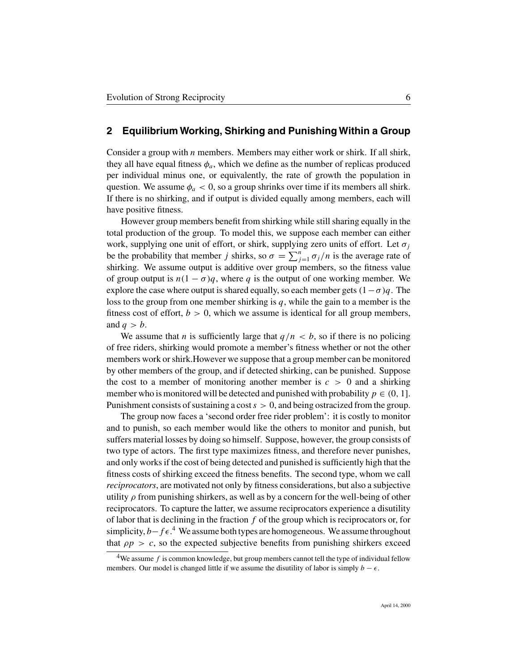#### **2 Equilibrium Working, Shirking and Punishing Within a Group**

Consider a group with  $n$  members. Members may either work or shirk. If all shirk, they all have equal fitness  $\phi_a$ , which we define as the number of replicas produced per individual minus one, or equivalently, the rate of growth the population in question. We assume  $\phi_a < 0$ , so a group shrinks over time if its members all shirk. If there is no shirking, and if output is divided equally among members, each will have positive fitness.

However group members benefit from shirking while still sharing equally in the total production of the group. To model this, we suppose each member can either work, supplying one unit of effort, or shirk, supplying zero units of effort. Let  $\sigma_i$ be the probability that member j shirks, so  $\sigma = \sum_{j=1}^{n} \sigma_j / n$  is the average rate of shirking. We assume output is additive over group members, so the fitness value of group output is  $n(1 - \sigma)q$ , where q is the output of one working member. We explore the case where output is shared equally, so each member gets  $(1-\sigma)q$ . The loss to the group from one member shirking is  $q$ , while the gain to a member is the fitness cost of effort,  $b > 0$ , which we assume is identical for all group members, and  $q > b$ .

We assume that *n* is sufficiently large that  $q/n < b$ , so if there is no policing of free riders, shirking would promote a member's fitness whether or not the other members work or shirk.However we suppose that a group member can be monitored by other members of the group, and if detected shirking, can be punished. Suppose the cost to a member of monitoring another member is  $c > 0$  and a shirking member who is monitored will be detected and punished with probability  $p \in (0, 1]$ . Punishment consists of sustaining a cost  $s > 0$ , and being ostracized from the group.

The group now faces a 'second order free rider problem': it is costly to monitor and to punish, so each member would like the others to monitor and punish, but suffers material losses by doing so himself. Suppose, however, the group consists of two type of actors. The first type maximizes fitness, and therefore never punishes, and only works if the cost of being detected and punished is sufficiently high that the fitness costs of shirking exceed the fitness benefits. The second type, whom we call *reciprocators*, are motivated not only by fitness considerations, but also a subjective utility  $\rho$  from punishing shirkers, as well as by a concern for the well-being of other reciprocators. To capture the latter, we assume reciprocators experience a disutility of labor that is declining in the fraction  $f$  of the group which is reciprocators or, for simplicity,  $b - f \epsilon$ <sup>4</sup>. We assume both types are homogeneous. We assume throughout that  $\rho p > c$ , so the expected subjective benefits from punishing shirkers exceed

<sup>&</sup>lt;sup>4</sup>We assume  $f$  is common knowledge, but group members cannot tell the type of individual fellow members. Our model is changed little if we assume the disutility of labor is simply  $b - \epsilon$ .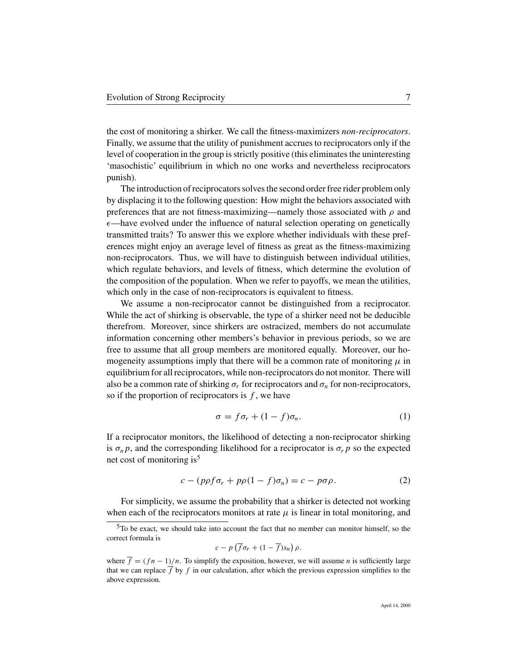the cost of monitoring a shirker. We call the fitness-maximizers *non-reciprocators*. Finally, we assume that the utility of punishment accrues to reciprocators only if the level of cooperation in the group is strictly positive (this eliminates the uninteresting 'masochistic' equilibrium in which no one works and nevertheless reciprocators punish).

The introduction of reciprocators solves the second order free rider problem only by displacing it to the following question: How might the behaviors associated with preferences that are not fitness-maximizing—namely those associated with  $\rho$  and  $\epsilon$ —have evolved under the influence of natural selection operating on genetically transmitted traits? To answer this we explore whether individuals with these preferences might enjoy an average level of fitness as great as the fitness-maximizing non-reciprocators. Thus, we will have to distinguish between individual utilities, which regulate behaviors, and levels of fitness, which determine the evolution of the composition of the population. When we refer to payoffs, we mean the utilities, which only in the case of non-reciprocators is equivalent to fitness.

We assume a non-reciprocator cannot be distinguished from a reciprocator. While the act of shirking is observable, the type of a shirker need not be deducible therefrom. Moreover, since shirkers are ostracized, members do not accumulate information concerning other members's behavior in previous periods, so we are free to assume that all group members are monitored equally. Moreover, our homogeneity assumptions imply that there will be a common rate of monitoring  $\mu$  in equilibrium for all reciprocators, while non-reciprocators do not monitor. There will also be a common rate of shirking  $\sigma_r$  for reciprocators and  $\sigma_n$  for non-reciprocators, so if the proportion of reciprocators is  $f$ , we have

$$
\sigma = f \sigma_r + (1 - f) \sigma_n. \tag{1}
$$

If a reciprocator monitors, the likelihood of detecting a non-reciprocator shirking is  $\sigma_n$ *p*, and the corresponding likelihood for a reciprocator is  $\sigma_r$ *p* so the expected net cost of monitoring is<sup>5</sup>

$$
c - (p\rho f \sigma_r + p\rho (1 - f) \sigma_n) = c - p \sigma \rho. \tag{2}
$$

For simplicity, we assume the probability that a shirker is detected not working when each of the reciprocators monitors at rate  $\mu$  is linear in total monitoring, and

$$
c - p \left( \overline{f} \sigma_r + (1 - \overline{f}) s_n \right) \rho.
$$

<sup>5</sup>To be exact, we should take into account the fact that no member can monitor himself, so the correct formula is

where  $\overline{f} = (fn - 1)/n$ . To simplify the exposition, however, we will assume *n* is sufficiently large that we can replace  $\overline{f}$  by f in our calculation, after which the previous expression simplifies to the above expression.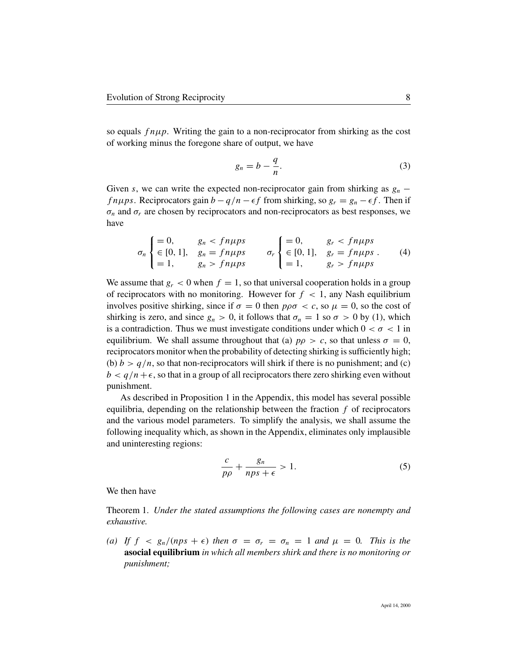so equals  $f \nuparrow \mu \nu$ . Writing the gain to a non-reciprocator from shirking as the cost of working minus the foregone share of output, we have

$$
g_n = b - \frac{q}{n}.\tag{3}
$$

Given s, we can write the expected non-reciprocator gain from shirking as  $g_n$  – *f* nµps. Reciprocators gain  $b - q/n - \epsilon f$  from shirking, so  $g_r = g_n - \epsilon f$ . Then if  $\sigma_n$  and  $\sigma_r$  are chosen by reciprocators and non-reciprocators as best responses, we have

$$
\sigma_n \begin{cases}\n= 0, & g_n < f n \mu p s \\
\in [0, 1], & g_n = f n \mu p s \\
= 1, & g_n > f n \mu p s\n\end{cases}\n\quad\n\sigma_r \begin{cases}\n= 0, & g_r < f n \mu p s \\
\in [0, 1], & g_r = f n \mu p s \\
= 1, & g_r > f n \mu p s\n\end{cases} \tag{4}
$$

We assume that  $g_r < 0$  when  $f = 1$ , so that universal cooperation holds in a group of reciprocators with no monitoring. However for  $f < 1$ , any Nash equilibrium involves positive shirking, since if  $\sigma = 0$  then  $p\rho\sigma < c$ , so  $\mu = 0$ , so the cost of shirking is zero, and since  $g_n > 0$ , it follows that  $\sigma_n = 1$  so  $\sigma > 0$  by (1), which is a contradiction. Thus we must investigate conditions under which  $0 < \sigma < 1$  in equilibrium. We shall assume throughout that (a)  $p\rho > c$ , so that unless  $\sigma = 0$ , reciprocators monitor when the probability of detecting shirking is sufficiently high; (b)  $b > q/n$ , so that non-reciprocators will shirk if there is no punishment; and (c)  $b < q/n + \epsilon$ , so that in a group of all reciprocators there zero shirking even without punishment.

As described in Proposition 1 in the Appendix, this model has several possible equilibria, depending on the relationship between the fraction  $f$  of reciprocators and the various model parameters. To simplify the analysis, we shall assume the following inequality which, as shown in the Appendix, eliminates only implausible and uninteresting regions:

$$
\frac{c}{p\rho} + \frac{g_n}{nps + \epsilon} > 1.
$$
 (5)

We then have

Theorem 1. *Under the stated assumptions the following cases are nonempty and exhaustive.*

(a) If  $f \leq g_n/(nps + \epsilon)$  then  $\sigma = \sigma_r = \sigma_n = 1$  and  $\mu = 0$ . This is the **asocial equilibrium** *in which all members shirk and there is no monitoring or punishment;*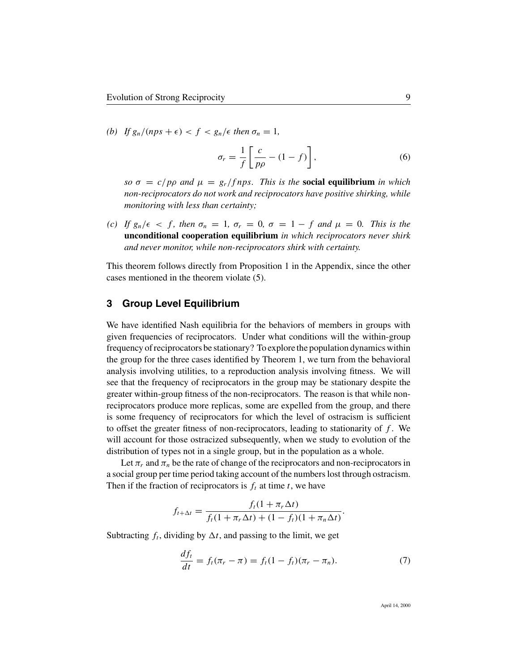*(b)* If  $g_n/(nps + \epsilon) < f < g_n/\epsilon$  then  $\sigma_n = 1$ ,

$$
\sigma_r = \frac{1}{f} \left[ \frac{c}{p\rho} - (1 - f) \right],\tag{6}
$$

*so*  $\sigma = c/p\rho$  *and*  $\mu = g_r/fnps$ *. This is the* **social equilibrium** *in which non-reciprocators do not work and reciprocators have positive shirking, while monitoring with less than certainty;*

*(c)* If  $g_n/\epsilon < f$ , then  $\sigma_n = 1$ ,  $\sigma_r = 0$ ,  $\sigma = 1 - f$  and  $\mu = 0$ . This is the **unconditional cooperation equilibrium** *in which reciprocators never shirk and never monitor, while non-reciprocators shirk with certainty.*

This theorem follows directly from Proposition 1 in the Appendix, since the other cases mentioned in the theorem violate (5).

#### **3 Group Level Equilibrium**

We have identified Nash equilibria for the behaviors of members in groups with given frequencies of reciprocators. Under what conditions will the within-group frequency of reciprocators be stationary? To explore the population dynamics within the group for the three cases identified by Theorem 1, we turn from the behavioral analysis involving utilities, to a reproduction analysis involving fitness. We will see that the frequency of reciprocators in the group may be stationary despite the greater within-group fitness of the non-reciprocators. The reason is that while nonreciprocators produce more replicas, some are expelled from the group, and there is some frequency of reciprocators for which the level of ostracism is sufficient to offset the greater fitness of non-reciprocators, leading to stationarity of  $f$ . We will account for those ostracized subsequently, when we study to evolution of the distribution of types not in a single group, but in the population as a whole.

Let  $\pi_r$  and  $\pi_n$  be the rate of change of the reciprocators and non-reciprocators in a social group per time period taking account of the numbers lost through ostracism. Then if the fraction of reciprocators is  $f_t$  at time t, we have

$$
f_{t+\Delta t} = \frac{f_t(1+\pi_r\Delta t)}{f_t(1+\pi_r\Delta t) + (1-f_t)(1+\pi_n\Delta t)}.
$$

Subtracting  $f_t$ , dividing by  $\Delta t$ , and passing to the limit, we get

$$
\frac{df_t}{dt} = f_t(\pi_r - \pi) = f_t(1 - f_t)(\pi_r - \pi_n). \tag{7}
$$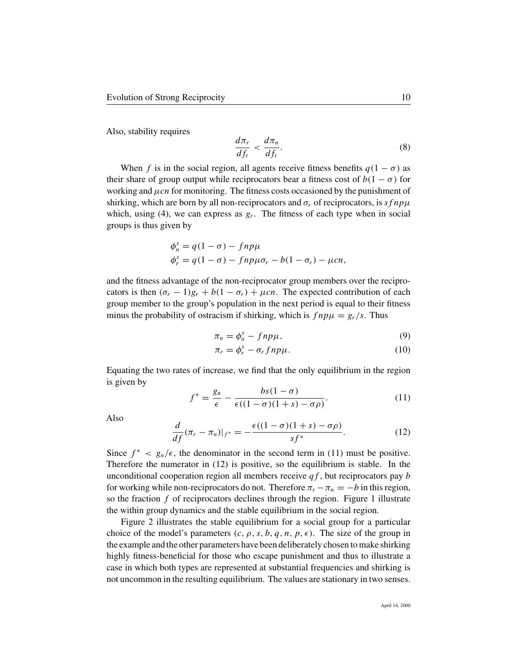Also, stability requires

$$
\frac{d\pi_r}{df_t} < \frac{d\pi_n}{df_t}.\tag{8}
$$

When f is in the social region, all agents receive fitness benefits  $q(1 - \sigma)$  as their share of group output while reciprocators bear a fitness cost of  $b(1 - \sigma)$  for working and  $\mu$ cn for monitoring. The fitness costs occasioned by the punishment of shirking, which are born by all non-reciprocators and  $\sigma_r$  of reciprocators, is sf np $\mu$ which, using (4), we can express as  $g_r$ . The fitness of each type when in social groups is thus given by

$$
\begin{aligned} \phi_n^s &= q(1-\sigma) - fnp\mu\\ \phi_r^s &= q(1-\sigma) - fnp\mu\sigma_r - b(1-\sigma_r) - \mu cn, \end{aligned}
$$

and the fitness advantage of the non-reciprocator group members over the reciprocators is then  $(\sigma_r - 1)g_r + b(1 - \sigma_r) + \mu cn$ . The expected contribution of each group member to the group's population in the next period is equal to their fitness minus the probability of ostracism if shirking, which is  $f np\mu = g_r/s$ . Thus

$$
\pi_n = \phi_n^s - f n p \mu,\tag{9}
$$

$$
\pi_r = \phi_r^s - \sigma_r f n p \mu. \tag{10}
$$

Equating the two rates of increase, we find that the only equilibrium in the region is given by

$$
f^* = \frac{g_n}{\epsilon} - \frac{bs(1-\sigma)}{\epsilon((1-\sigma)(1+s)-\sigma\rho)}.\tag{11}
$$

Also

$$
\frac{d}{df}(\pi_r - \pi_n)|_{f^*} = -\frac{\epsilon((1 - \sigma)(1 + s) - \sigma\rho)}{sf^*}.
$$
 (12)

Since  $f^* < g_n/\epsilon$ , the denominator in the second term in (11) must be positive. Therefore the numerator in (12) is positive, so the equilibrium is stable. In the unconditional cooperation region all members receive  $qf$ , but reciprocators pay b for working while non-reciprocators do not. Therefore  $\pi_r - \pi_n = -b$  in this region, so the fraction  $f$  of reciprocators declines through the region. Figure 1 illustrate the within group dynamics and the stable equilibrium in the social region.

Figure 2 illustrates the stable equilibrium for a social group for a particular choice of the model's parameters  $(c, \rho, s, b, q, n, p, \epsilon)$ . The size of the group in the example and the other parameters have been deliberately chosen to make shirking highly fitness-beneficial for those who escape punishment and thus to illustrate a case in which both types are represented at substantial frequencies and shirking is not uncommon in the resulting equilibrium. The values are stationary in two senses.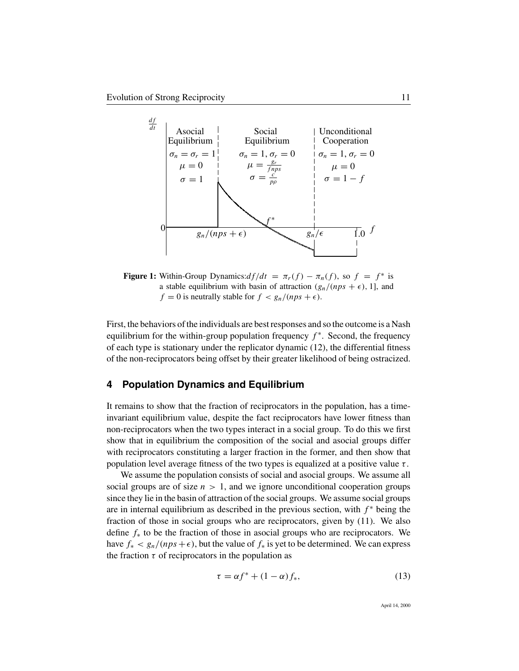

**Figure 1:** Within-Group Dynamics: $df/dt = \pi_r(f) - \pi_n(f)$ , so  $f = f^*$  is a stable equilibrium with basin of attraction  $(g_n/(nps + \epsilon), 1]$ , and  $f = 0$  is neutrally stable for  $f < g_n/(nps + \epsilon)$ .

First, the behaviors of the individuals are best responses and so the outcome is a Nash equilibrium for the within-group population frequency  $f^*$ . Second, the frequency of each type is stationary under the replicator dynamic (12), the differential fitness of the non-reciprocators being offset by their greater likelihood of being ostracized.

#### **4 Population Dynamics and Equilibrium**

It remains to show that the fraction of reciprocators in the population, has a timeinvariant equilibrium value, despite the fact reciprocators have lower fitness than non-reciprocators when the two types interact in a social group. To do this we first show that in equilibrium the composition of the social and asocial groups differ with reciprocators constituting a larger fraction in the former, and then show that population level average fitness of the two types is equalized at a positive value  $\tau$ .

We assume the population consists of social and asocial groups. We assume all social groups are of size  $n > 1$ , and we ignore unconditional cooperation groups since they lie in the basin of attraction of the social groups. We assume social groups are in internal equilibrium as described in the previous section, with  $f^*$  being the fraction of those in social groups who are reciprocators, given by (11). We also define  $f_*$  to be the fraction of those in asocial groups who are reciprocators. We have  $f_* < g_n/(nps + \epsilon)$ , but the value of  $f_*$  is yet to be determined. We can express the fraction  $\tau$  of reciprocators in the population as

$$
\tau = \alpha f^* + (1 - \alpha) f_*,\tag{13}
$$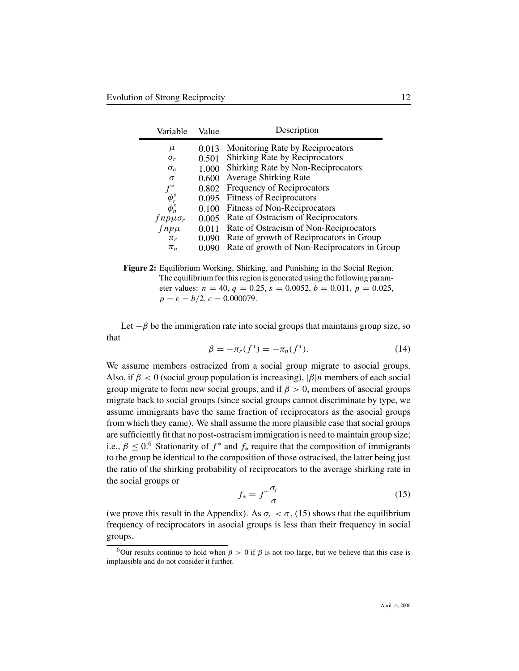| Variable                | Value | Description                                  |
|-------------------------|-------|----------------------------------------------|
| μ                       | 0.013 | Monitoring Rate by Reciprocators             |
| $\sigma_r$              | 0.501 | <b>Shirking Rate by Reciprocators</b>        |
| $\sigma_n$              | 1.000 | Shirking Rate by Non-Reciprocators           |
| $\sigma$                | 0.600 | <b>Average Shirking Rate</b>                 |
| $f^*$                   | 0.802 | Frequency of Reciprocators                   |
| $\phi_r^s$              | 0.095 | <b>Fitness of Reciprocators</b>              |
| $\phi_n^s$              | 0.100 | Fitness of Non-Reciprocators                 |
| $f$ np $\mu$ $\sigma_r$ | 0.005 | Rate of Ostracism of Reciprocators           |
| $f$ np $\mu$            | 0.011 | Rate of Ostracism of Non-Reciprocators       |
| $\pi_r$                 | 0.090 | Rate of growth of Reciprocators in Group     |
| $\pi_n$                 | 0.090 | Rate of growth of Non-Reciprocators in Group |

**Figure 2:** Equilibrium Working, Shirking, and Punishing in the Social Region. The equilibrium for this region is generated using the following parameter values:  $n = 40$ ,  $q = 0.25$ ,  $s = 0.0052$ ,  $b = 0.011$ ,  $p = 0.025$ ,  $\rho = \epsilon = b/2, c = 0.000079.$ 

Let  $-\beta$  be the immigration rate into social groups that maintains group size, so that

$$
\beta = -\pi_r(f^*) = -\pi_n(f^*). \tag{14}
$$

We assume members ostracized from a social group migrate to asocial groups. Also, if  $\beta < 0$  (social group population is increasing),  $|\beta|n$  members of each social group migrate to form new social groups, and if  $\beta > 0$ , members of asocial groups migrate back to social groups (since social groups cannot discriminate by type, we assume immigrants have the same fraction of reciprocators as the asocial groups from which they came). We shall assume the more plausible case that social groups are sufficiently fit that no post-ostracism immigration is need to maintain group size; i.e.,  $\beta \leq 0.6$  Stationarity of  $f^*$  and  $f_*$  require that the composition of immigrants to the group be identical to the composition of those ostracised, the latter being just the ratio of the shirking probability of reciprocators to the average shirking rate in the social groups or

$$
f_* = f^* \frac{\sigma_r}{\sigma} \tag{15}
$$

(we prove this result in the Appendix). As  $\sigma_r < \sigma$ , (15) shows that the equilibrium frequency of reciprocators in asocial groups is less than their frequency in social groups.

<sup>&</sup>lt;sup>6</sup>Our results continue to hold when  $\beta > 0$  if  $\beta$  is not too large, but we believe that this case is implausible and do not consider it further.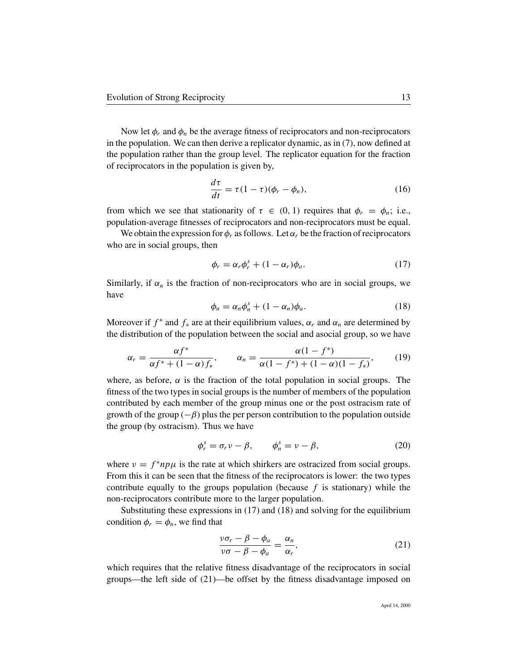Now let  $\phi_r$  and  $\phi_n$  be the average fitness of reciprocators and non-reciprocators in the population. We can then derive a replicator dynamic, as in (7), now defined at the population rather than the group level. The replicator equation for the fraction of reciprocators in the population is given by,

$$
\frac{d\tau}{dt} = \tau (1 - \tau)(\phi_r - \phi_n),\tag{16}
$$

from which we see that stationarity of  $\tau \in (0, 1)$  requires that  $\phi_r = \phi_n$ ; i.e., population-average fitnesses of reciprocators and non-reciprocators must be equal.

We obtain the expression for  $\phi_r$  as follows. Let  $\alpha_r$  be the fraction of reciprocators who are in social groups, then

$$
\phi_r = \alpha_r \phi_r^s + (1 - \alpha_r) \phi_a. \tag{17}
$$

Similarly, if  $\alpha_n$  is the fraction of non-reciprocators who are in social groups, we have

$$
\phi_n = \alpha_n \phi_n^s + (1 - \alpha_n) \phi_a. \tag{18}
$$

Moreover if  $f^*$  and  $f_*$  are at their equilibrium values,  $\alpha_r$  and  $\alpha_n$  are determined by the distribution of the population between the social and asocial group, so we have

$$
\alpha_r = \frac{\alpha f^*}{\alpha f^* + (1 - \alpha)f_*}, \qquad \alpha_n = \frac{\alpha (1 - f^*)}{\alpha (1 - f^*) + (1 - \alpha)(1 - f_*)}, \qquad (19)
$$

where, as before,  $\alpha$  is the fraction of the total population in social groups. The fitness of the two types in social groups is the number of members of the population contributed by each member of the group minus one or the post ostracism rate of growth of the group  $(-\beta)$  plus the per person contribution to the population outside the group (by ostracism). Thus we have

$$
\phi_r^s = \sigma_r v - \beta, \qquad \phi_n^s = v - \beta,
$$
\n(20)

where  $v = f^* np\mu$  is the rate at which shirkers are ostracized from social groups. From this it can be seen that the fitness of the reciprocators is lower: the two types contribute equally to the groups population (because  $f$  is stationary) while the non-reciprocators contribute more to the larger population.

Substituting these expressions in (17) and (18) and solving for the equilibrium condition  $\phi_r = \phi_n$ , we find that

$$
\frac{\nu \sigma_r - \beta - \phi_a}{\nu \sigma - \beta - \phi_a} = \frac{\alpha_n}{\alpha_r},\tag{21}
$$

which requires that the relative fitness disadvantage of the reciprocators in social groups—the left side of (21)—be offset by the fitness disadvantage imposed on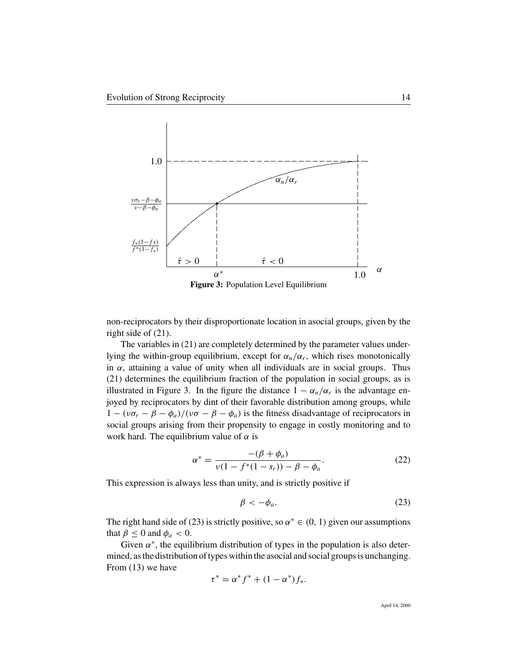

non-reciprocators by their disproportionate location in asocial groups, given by the right side of (21).

The variables in (21) are completely determined by the parameter values underlying the within-group equilibrium, except for  $\alpha_n/\alpha_r$ , which rises monotonically in  $\alpha$ , attaining a value of unity when all individuals are in social groups. Thus (21) determines the equilibrium fraction of the population in social groups, as is illustrated in Figure 3. In the figure the distance  $1 - \alpha_n/\alpha_r$  is the advantage enjoyed by reciprocators by dint of their favorable distribution among groups, while  $1 - (\nu \sigma_r - \beta - \phi_a)/(\nu \sigma - \beta - \phi_a)$  is the fitness disadvantage of reciprocators in social groups arising from their propensity to engage in costly monitoring and to work hard. The equilibrium value of  $\alpha$  is

$$
\alpha^* = \frac{-(\beta + \phi_a)}{\nu(1 - f^*(1 - s_r)) - \beta - \phi_a}.
$$
 (22)

This expression is always less than unity, and is strictly positive if

$$
\beta < -\phi_a. \tag{23}
$$

The right hand side of (23) is strictly positive, so  $\alpha^* \in (0, 1)$  given our assumptions that  $\beta \leq 0$  and  $\phi_a < 0$ .

Given  $\alpha^*$ , the equilibrium distribution of types in the population is also determined, as the distribution of types within the asocial and social groups is unchanging. From (13) we have

$$
\tau^* = \alpha^* f^* + (1 - \alpha^*) f_*.
$$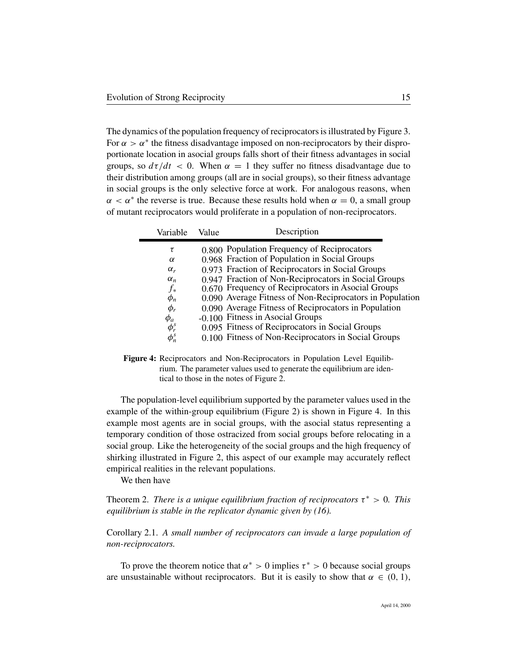The dynamics of the population frequency of reciprocators is illustrated by Figure 3. For  $\alpha > \alpha^*$  the fitness disadvantage imposed on non-reciprocators by their disproportionate location in asocial groups falls short of their fitness advantages in social groups, so  $d\tau/dt < 0$ . When  $\alpha = 1$  they suffer no fitness disadvantage due to their distribution among groups (all are in social groups), so their fitness advantage in social groups is the only selective force at work. For analogous reasons, when  $\alpha < \alpha^*$  the reverse is true. Because these results hold when  $\alpha = 0$ , a small group of mutant reciprocators would proliferate in a population of non-reciprocators.

| Variable   | Value | Description                                              |
|------------|-------|----------------------------------------------------------|
| τ          |       | 0.800 Population Frequency of Reciprocators              |
| $\alpha$   |       | 0.968 Fraction of Population in Social Groups            |
| $\alpha_r$ |       | 0.973 Fraction of Reciprocators in Social Groups         |
| $\alpha_n$ |       | 0.947 Fraction of Non-Reciprocators in Social Groups     |
| $f_*$      |       | 0.670 Frequency of Reciprocators in Asocial Groups       |
| $\phi_n$   |       | 0.090 Average Fitness of Non-Reciprocators in Population |
| $\phi_r$   |       | 0.090 Average Fitness of Reciprocators in Population     |
| $\phi_a$   |       | -0.100 Fitness in Asocial Groups                         |
| $\phi_r^s$ |       | 0.095 Fitness of Reciprocators in Social Groups          |
| $\phi_n^s$ |       | 0.100 Fitness of Non-Reciprocators in Social Groups      |
|            |       |                                                          |

**Figure 4:** Reciprocators and Non-Reciprocators in Population Level Equilibrium. The parameter values used to generate the equilibrium are identical to those in the notes of Figure 2.

The population-level equilibrium supported by the parameter values used in the example of the within-group equilibrium (Figure 2) is shown in Figure 4. In this example most agents are in social groups, with the asocial status representing a temporary condition of those ostracized from social groups before relocating in a social group. Like the heterogeneity of the social groups and the high frequency of shirking illustrated in Figure 2, this aspect of our example may accurately reflect empirical realities in the relevant populations.

We then have

Theorem 2. *There is a unique equilibrium fraction of reciprocators*  $\tau^* > 0$ . *This equilibrium is stable in the replicator dynamic given by (16).*

Corollary 2.1. *A small number of reciprocators can invade a large population of non-reciprocators.*

To prove the theorem notice that  $\alpha^* > 0$  implies  $\tau^* > 0$  because social groups are unsustainable without reciprocators. But it is easily to show that  $\alpha \in (0, 1)$ ,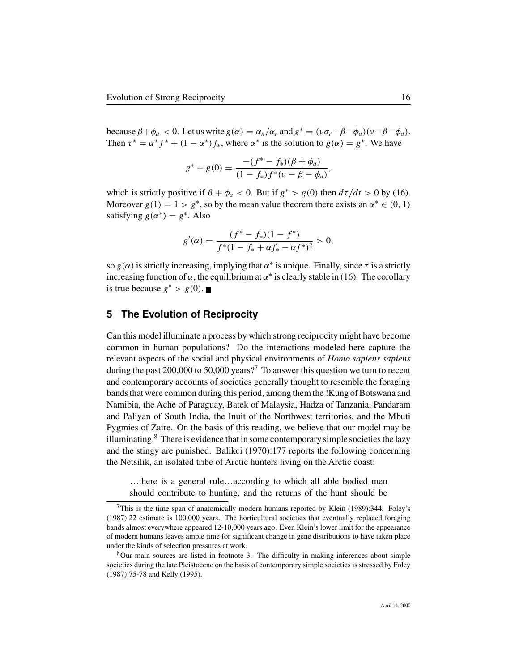because  $\beta + \phi_a < 0$ . Let us write  $g(\alpha) = \alpha_n/\alpha_r$  and  $g^* = (\nu \sigma_r - \beta - \phi_a)(\nu - \beta - \phi_a)$ . Then  $\tau^* = \alpha^* f^* + (1 - \alpha^*) f^*$ , where  $\alpha^*$  is the solution to  $g(\alpha) = g^*$ . We have

$$
g^* - g(0) = \frac{-(f^* - f_*)(\beta + \phi_a)}{(1 - f_*)f^*(v - \beta - \phi_a)},
$$

which is strictly positive if  $\beta + \phi_a < 0$ . But if  $g^* > g(0)$  then  $d\tau/dt > 0$  by (16). Moreover  $g(1) = 1 > g^*$ , so by the mean value theorem there exists an  $\alpha^* \in (0, 1)$ satisfying  $g(\alpha^*) = g^*$ . Also

$$
g'(\alpha) = \frac{(f^* - f_*)(1 - f^*)}{f^*(1 - f_* + \alpha f_* - \alpha f^*)^2} > 0,
$$

so  $g(\alpha)$  is strictly increasing, implying that  $\alpha^*$  is unique. Finally, since  $\tau$  is a strictly increasing function of  $\alpha$ , the equilibrium at  $\alpha^*$  is clearly stable in (16). The corollary is true because  $g^* > g(0)$ . ■

#### **5 The Evolution of Reciprocity**

Can this model illuminate a process by which strong reciprocity might have become common in human populations? Do the interactions modeled here capture the relevant aspects of the social and physical environments of *Homo sapiens sapiens* during the past 200,000 to 50,000 years?<sup>7</sup> To answer this question we turn to recent and contemporary accounts of societies generally thought to resemble the foraging bands that were common during this period, among them the !Kung of Botswana and Namibia, the Ache of Paraguay, Batek of Malaysia, Hadza of Tanzania, Pandaram and Paliyan of South India, the Inuit of the Northwest territories, and the Mbuti Pygmies of Zaire. On the basis of this reading, we believe that our model may be illuminating. $8$  There is evidence that in some contemporary simple societies the lazy and the stingy are punished. Balikci (1970):177 reports the following concerning the Netsilik, an isolated tribe of Arctic hunters living on the Arctic coast:

…there is a general rule…according to which all able bodied men should contribute to hunting, and the returns of the hunt should be

 $7$ This is the time span of anatomically modern humans reported by Klein (1989):344. Foley's (1987):22 estimate is 100,000 years. The horticultural societies that eventually replaced foraging bands almost everywhere appeared 12-10,000 years ago. Even Klein's lower limit for the appearance of modern humans leaves ample time for significant change in gene distributions to have taken place under the kinds of selection pressures at work.

<sup>8</sup>Our main sources are listed in footnote 3. The difficulty in making inferences about simple societies during the late Pleistocene on the basis of contemporary simple societies is stressed by Foley (1987):75-78 and Kelly (1995).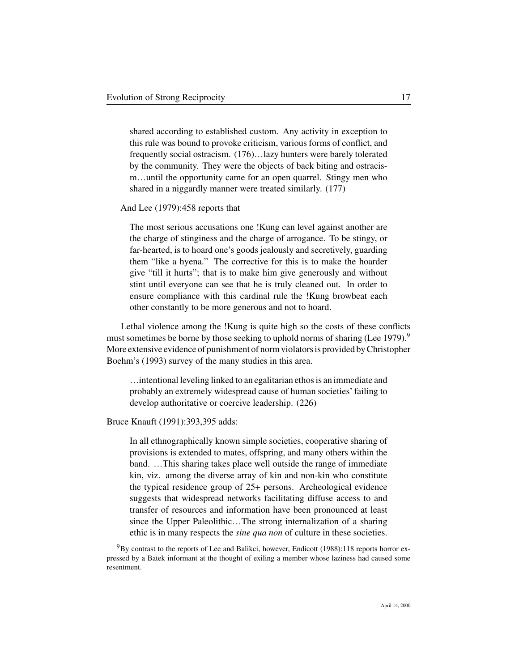shared according to established custom. Any activity in exception to this rule was bound to provoke criticism, various forms of conflict, and frequently social ostracism. (176)…lazy hunters were barely tolerated by the community. They were the objects of back biting and ostracism…until the opportunity came for an open quarrel. Stingy men who shared in a niggardly manner were treated similarly. (177)

#### And Lee (1979):458 reports that

The most serious accusations one !Kung can level against another are the charge of stinginess and the charge of arrogance. To be stingy, or far-hearted, is to hoard one's goods jealously and secretively, guarding them "like a hyena." The corrective for this is to make the hoarder give "till it hurts"; that is to make him give generously and without stint until everyone can see that he is truly cleaned out. In order to ensure compliance with this cardinal rule the !Kung browbeat each other constantly to be more generous and not to hoard.

Lethal violence among the !Kung is quite high so the costs of these conflicts must sometimes be borne by those seeking to uphold norms of sharing (Lee 1979).<sup>9</sup> More extensive evidence of punishment of norm violators is provided by Christopher Boehm's (1993) survey of the many studies in this area.

…intentional leveling linked to an egalitarian ethos is an immediate and probably an extremely widespread cause of human societies' failing to develop authoritative or coercive leadership. (226)

#### Bruce Knauft (1991):393,395 adds:

In all ethnographically known simple societies, cooperative sharing of provisions is extended to mates, offspring, and many others within the band. …This sharing takes place well outside the range of immediate kin, viz. among the diverse array of kin and non-kin who constitute the typical residence group of 25+ persons. Archeological evidence suggests that widespread networks facilitating diffuse access to and transfer of resources and information have been pronounced at least since the Upper Paleolithic…The strong internalization of a sharing ethic is in many respects the *sine qua non* of culture in these societies.

 $9By$  contrast to the reports of Lee and Balikci, however, Endicott (1988):118 reports horror expressed by a Batek informant at the thought of exiling a member whose laziness had caused some resentment.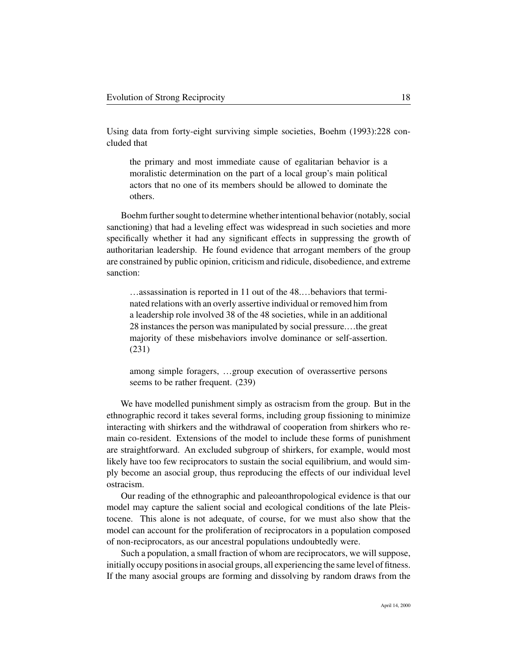Using data from forty-eight surviving simple societies, Boehm (1993):228 concluded that

the primary and most immediate cause of egalitarian behavior is a moralistic determination on the part of a local group's main political actors that no one of its members should be allowed to dominate the others.

Boehm further sought to determine whether intentional behavior (notably, social sanctioning) that had a leveling effect was widespread in such societies and more specifically whether it had any significant effects in suppressing the growth of authoritarian leadership. He found evidence that arrogant members of the group are constrained by public opinion, criticism and ridicule, disobedience, and extreme sanction:

…assassination is reported in 11 out of the 48.…behaviors that terminated relations with an overly assertive individual or removed him from a leadership role involved 38 of the 48 societies, while in an additional 28 instances the person was manipulated by social pressure.…the great majority of these misbehaviors involve dominance or self-assertion. (231)

among simple foragers, …group execution of overassertive persons seems to be rather frequent. (239)

We have modelled punishment simply as ostracism from the group. But in the ethnographic record it takes several forms, including group fissioning to minimize interacting with shirkers and the withdrawal of cooperation from shirkers who remain co-resident. Extensions of the model to include these forms of punishment are straightforward. An excluded subgroup of shirkers, for example, would most likely have too few reciprocators to sustain the social equilibrium, and would simply become an asocial group, thus reproducing the effects of our individual level ostracism.

Our reading of the ethnographic and paleoanthropological evidence is that our model may capture the salient social and ecological conditions of the late Pleistocene. This alone is not adequate, of course, for we must also show that the model can account for the proliferation of reciprocators in a population composed of non-reciprocators, as our ancestral populations undoubtedly were.

Such a population, a small fraction of whom are reciprocators, we will suppose, initially occupy positions in asocial groups, all experiencing the same level of fitness. If the many asocial groups are forming and dissolving by random draws from the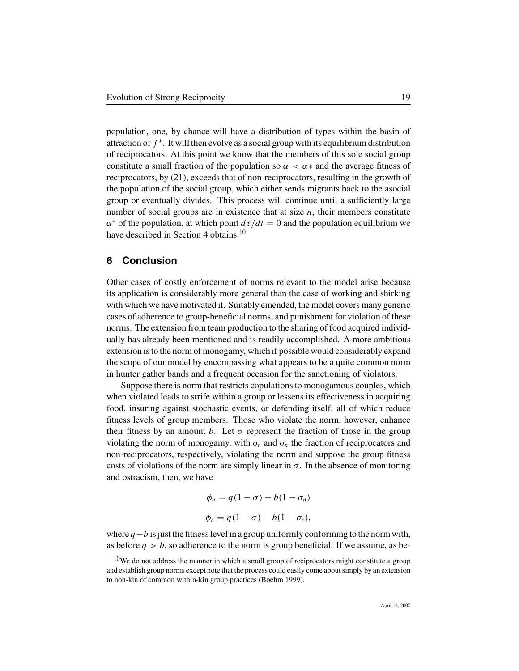population, one, by chance will have a distribution of types within the basin of attraction of  $f^*$ . It will then evolve as a social group with its equilibrium distribution of reciprocators. At this point we know that the members of this sole social group constitute a small fraction of the population so  $\alpha < \alpha *$  and the average fitness of reciprocators, by (21), exceeds that of non-reciprocators, resulting in the growth of the population of the social group, which either sends migrants back to the asocial group or eventually divides. This process will continue until a sufficiently large number of social groups are in existence that at size  $n$ , their members constitute  $\alpha^*$  of the population, at which point  $d\tau/dt = 0$  and the population equilibrium we have described in Section 4 obtains.<sup>10</sup>

#### **6 Conclusion**

Other cases of costly enforcement of norms relevant to the model arise because its application is considerably more general than the case of working and shirking with which we have motivated it. Suitably emended, the model covers many generic cases of adherence to group-beneficial norms, and punishment for violation of these norms. The extension from team production to the sharing of food acquired individually has already been mentioned and is readily accomplished. A more ambitious extension is to the norm of monogamy, which if possible would considerably expand the scope of our model by encompassing what appears to be a quite common norm in hunter gather bands and a frequent occasion for the sanctioning of violators.

Suppose there is norm that restricts copulations to monogamous couples, which when violated leads to strife within a group or lessens its effectiveness in acquiring food, insuring against stochastic events, or defending itself, all of which reduce fitness levels of group members. Those who violate the norm, however, enhance their fitness by an amount b. Let  $\sigma$  represent the fraction of those in the group violating the norm of monogamy, with  $\sigma_r$  and  $\sigma_n$  the fraction of reciprocators and non-reciprocators, respectively, violating the norm and suppose the group fitness costs of violations of the norm are simply linear in  $\sigma$ . In the absence of monitoring and ostracism, then, we have

$$
\phi_n = q(1 - \sigma) - b(1 - \sigma_n)
$$
  

$$
\phi_r = q(1 - \sigma) - b(1 - \sigma_r),
$$

where  $q-b$  is just the fitness level in a group uniformly conforming to the norm with, as before  $q > b$ , so adherence to the norm is group beneficial. If we assume, as be-

 $10$ We do not address the manner in which a small group of reciprocators might constitute a group and establish group norms except note that the process could easily come about simply by an extension to non-kin of common within-kin group practices (Boehm 1999).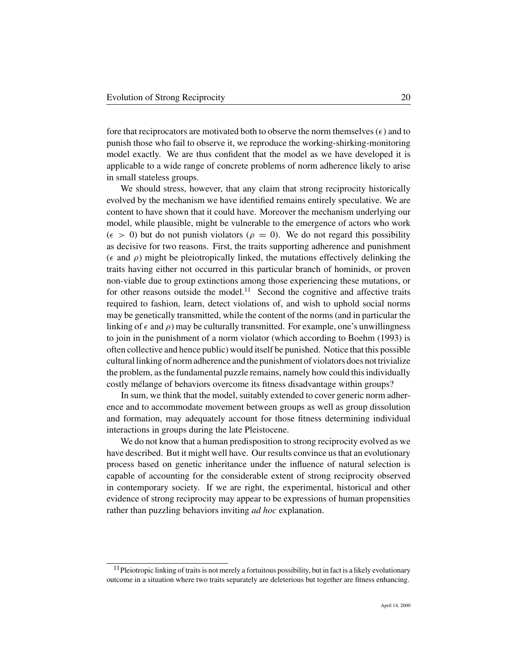fore that reciprocators are motivated both to observe the norm themselves  $(\epsilon)$  and to punish those who fail to observe it, we reproduce the working-shirking-monitoring model exactly. We are thus confident that the model as we have developed it is applicable to a wide range of concrete problems of norm adherence likely to arise in small stateless groups.

We should stress, however, that any claim that strong reciprocity historically evolved by the mechanism we have identified remains entirely speculative. We are content to have shown that it could have. Moreover the mechanism underlying our model, while plausible, might be vulnerable to the emergence of actors who work  $(\epsilon > 0)$  but do not punish violators  $(\rho = 0)$ . We do not regard this possibility as decisive for two reasons. First, the traits supporting adherence and punishment ( $\epsilon$  and  $\rho$ ) might be pleiotropically linked, the mutations effectively delinking the traits having either not occurred in this particular branch of hominids, or proven non-viable due to group extinctions among those experiencing these mutations, or for other reasons outside the model.<sup>11</sup> Second the cognitive and affective traits required to fashion, learn, detect violations of, and wish to uphold social norms may be genetically transmitted, while the content of the norms (and in particular the linking of  $\epsilon$  and  $\rho$ ) may be culturally transmitted. For example, one's unwillingness to join in the punishment of a norm violator (which according to Boehm (1993) is often collective and hence public) would itself be punished. Notice that this possible cultural linking of norm adherence and the punishment of violators does not trivialize the problem, as the fundamental puzzle remains, namely how could this individually costly mélange of behaviors overcome its fitness disadvantage within groups?

In sum, we think that the model, suitably extended to cover generic norm adherence and to accommodate movement between groups as well as group dissolution and formation, may adequately account for those fitness determining individual interactions in groups during the late Pleistocene.

We do not know that a human predisposition to strong reciprocity evolved as we have described. But it might well have. Our results convince us that an evolutionary process based on genetic inheritance under the influence of natural selection is capable of accounting for the considerable extent of strong reciprocity observed in contemporary society. If we are right, the experimental, historical and other evidence of strong reciprocity may appear to be expressions of human propensities rather than puzzling behaviors inviting *ad hoc* explanation.

 $11$ Pleiotropic linking of traits is not merely a fortuitous possibility, but in fact is a likely evolutionary outcome in a situation where two traits separately are deleterious but together are fitness enhancing.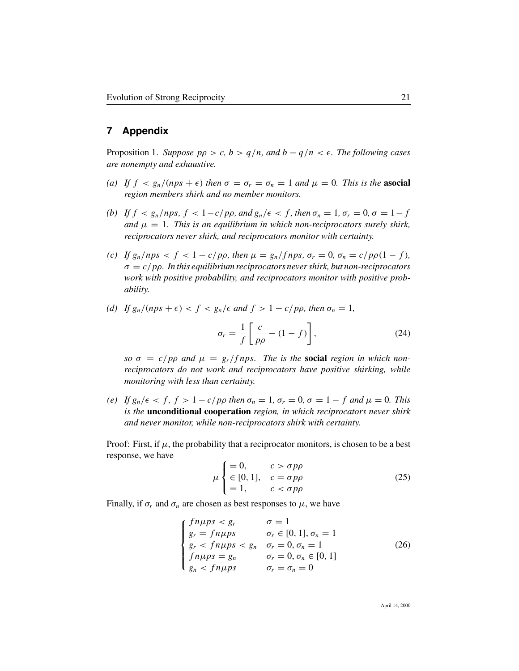### **7 Appendix**

Proposition 1. *Suppose*  $p \rho > c$ ,  $b > q/n$ , and  $b - q/n < \epsilon$ . *The following cases are nonempty and exhaustive.*

- (a) If  $f \leq g_n/(nps + \epsilon)$  *then*  $\sigma = \sigma_r = \sigma_n = 1$  *and*  $\mu = 0$ *. This is the* **asocial** *region members shirk and no member monitors.*
- *(b)* If  $f < g_n/nps$ ,  $f < 1-c/p\rho$ , and  $g_n/\epsilon < f$ , then  $\sigma_n = 1$ ,  $\sigma_r = 0$ ,  $\sigma = 1-f$ *and*  $\mu = 1$ . *This is an equilibrium in which non-reciprocators surely shirk, reciprocators never shirk, and reciprocators monitor with certainty.*
- *(c)* If  $g_n / nps < f < 1 c/p\rho$ , then  $\mu = g_n / fnps$ ,  $\sigma_r = 0$ ,  $\sigma_n = c/p\rho(1 f)$ , σ = c/pρ*. In this equilibrium reciprocators never shirk, but non-reciprocators work with positive probability, and reciprocators monitor with positive probability.*
- *(d)* If  $g_n/(nps + \epsilon) < f < g_n/\epsilon$  and  $f > 1 c/p\rho$ , then  $\sigma_n = 1$ ,

$$
\sigma_r = \frac{1}{f} \left[ \frac{c}{p\rho} - (1 - f) \right],\tag{24}
$$

 $\sigma = c/p\rho$  and  $\mu = g_r/fnps$ . The is the **social** region in which non*reciprocators do not work and reciprocators have positive shirking, while monitoring with less than certainty.*

*(e)* If  $g_n/\epsilon < f$ ,  $f > 1 - c/p\rho$  then  $\sigma_n = 1$ ,  $\sigma_r = 0$ ,  $\sigma = 1 - f$  and  $\mu = 0$ . This *is the* **unconditional cooperation** *region, in which reciprocators never shirk and never monitor, while non-reciprocators shirk with certainty.*

Proof: First, if  $\mu$ , the probability that a reciprocator monitors, is chosen to be a best response, we have

$$
\mu \begin{cases} = 0, & c > \sigma p \rho \\ \in [0, 1], & c = \sigma p \rho \\ = 1, & c < \sigma p \rho \end{cases}
$$
 (25)

Finally, if  $\sigma_r$  and  $\sigma_n$  are chosen as best responses to  $\mu$ , we have

$$
\begin{cases}\nfn\mu ps < s_r & \sigma = 1 \\
g_r = f n \mu ps & \sigma_r \in [0, 1], \sigma_n = 1 \\
g_r < f n \mu ps & \sigma_r = 0, \sigma_n = 1 \\
f n \mu ps = g_n & \sigma_r = 0, \sigma_n \in [0, 1] \\
g_n < f n \mu ps & \sigma_r = \sigma_n = 0\n\end{cases} \tag{26}
$$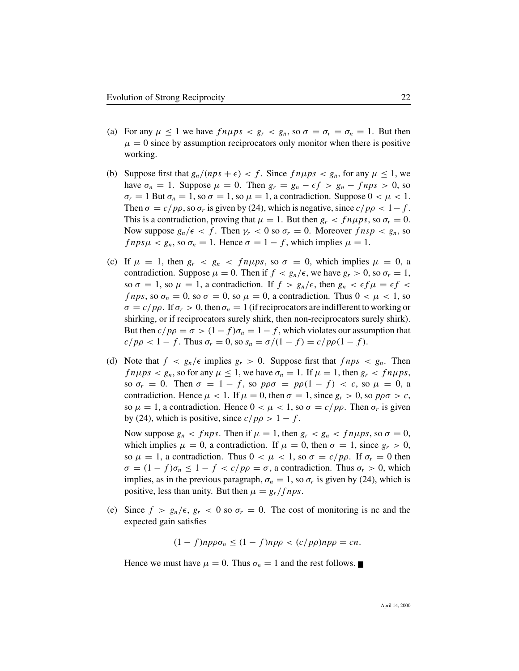- (a) For any  $\mu \leq 1$  we have  $f n \mu ps < g_r < g_n$ , so  $\sigma = \sigma_r = \sigma_n = 1$ . But then  $\mu = 0$  since by assumption reciprocators only monitor when there is positive working.
- (b) Suppose first that  $g_n/(nps + \epsilon) < f$ . Since  $fn\mu ps < g_n$ , for any  $\mu \le 1$ , we have  $\sigma_n = 1$ . Suppose  $\mu = 0$ . Then  $g_r = g_n - \epsilon f > g_n - f n p s > 0$ , so  $\sigma_r = 1$  But  $\sigma_n = 1$ , so  $\sigma = 1$ , so  $\mu = 1$ , a contradiction. Suppose  $0 < \mu < 1$ . Then  $\sigma = c/p\rho$ , so  $\sigma_r$  is given by (24), which is negative, since  $c/p\rho < 1-f$ . This is a contradiction, proving that  $\mu = 1$ . But then  $g_r < f n \mu ps$ , so  $\sigma_r = 0$ . Now suppose  $g_n/\epsilon < f$ . Then  $\gamma_r < 0$  so  $\sigma_r = 0$ . Moreover  $f n s p < g_n$ , so  $f nps \mu < g_n$ , so  $\sigma_n = 1$ . Hence  $\sigma = 1 - f$ , which implies  $\mu = 1$ .
- (c) If  $\mu = 1$ , then  $g_r < g_n < f_n \mu ps$ , so  $\sigma = 0$ , which implies  $\mu = 0$ , a contradiction. Suppose  $\mu = 0$ . Then if  $f < g_n/\epsilon$ , we have  $g_r > 0$ , so  $\sigma_r = 1$ , so  $\sigma = 1$ , so  $\mu = 1$ , a contradiction. If  $f > g_n/\epsilon$ , then  $g_n < \epsilon f \mu = \epsilon f$ *f nps*, so  $\sigma_n = 0$ , so  $\sigma = 0$ , so  $\mu = 0$ , a contradiction. Thus  $0 < \mu < 1$ , so  $\sigma = c/p\rho$ . If  $\sigma_r > 0$ , then  $\sigma_n = 1$  (if reciprocators are indifferent to working or shirking, or if reciprocators surely shirk, then non-reciprocators surely shirk). But then  $c/p\rho = \sigma > (1-f)\sigma_n = 1-f$ , which violates our assumption that  $c/pp < 1 - f$ . Thus  $\sigma_r = 0$ , so  $s_n = \frac{\sigma}{1 - f} = \frac{c}{pp(1 - f)}$ .
- (d) Note that  $f < g_n/\epsilon$  implies  $g_r > 0$ . Suppose first that  $f nps < g_n$ . Then  $fn\mu ps < g_n$ , so for any  $\mu \le 1$ , we have  $\sigma_n = 1$ . If  $\mu = 1$ , then  $g_r < fn\mu ps$ , so  $\sigma_r = 0$ . Then  $\sigma = 1 - f$ , so  $p\rho\sigma = p\rho(1 - f) < c$ , so  $\mu = 0$ , a contradiction. Hence  $\mu$  < 1. If  $\mu = 0$ , then  $\sigma = 1$ , since  $g_r > 0$ , so  $p\rho\sigma > c$ , so  $\mu = 1$ , a contradiction. Hence  $0 < \mu < 1$ , so  $\sigma = c/p\rho$ . Then  $\sigma_r$  is given by (24), which is positive, since  $c/p\rho > 1 - f$ .

Now suppose  $g_n < f$ nps. Then if  $\mu = 1$ , then  $g_r < g_n < f$ n $\mu$ ps, so  $\sigma = 0$ , which implies  $\mu = 0$ , a contradiction. If  $\mu = 0$ , then  $\sigma = 1$ , since  $g_r > 0$ , so  $\mu = 1$ , a contradiction. Thus  $0 < \mu < 1$ , so  $\sigma = c/p\rho$ . If  $\sigma_r = 0$  then  $\sigma = (1 - f)\sigma_n \leq 1 - f < c/p\rho = \sigma$ , a contradiction. Thus  $\sigma_r > 0$ , which implies, as in the previous paragraph,  $\sigma_n = 1$ , so  $\sigma_r$  is given by (24), which is positive, less than unity. But then  $\mu = g_r/fnps$ .

(e) Since  $f > g_n/\epsilon$ ,  $g_r < 0$  so  $\sigma_r = 0$ . The cost of monitoring is nc and the expected gain satisfies

 $(1 - f)np\rho\sigma_n \leq (1 - f)np\rho \langle (c/p\rho)np\rho = cn$ .

Hence we must have  $\mu = 0$ . Thus  $\sigma_n = 1$  and the rest follows.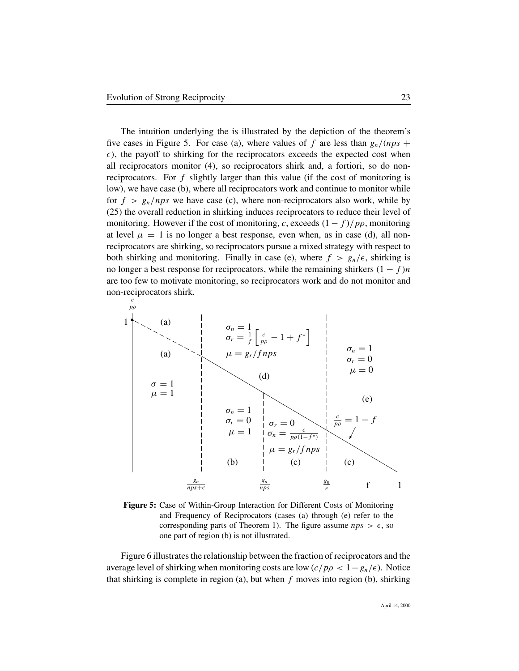The intuition underlying the is illustrated by the depiction of the theorem's five cases in Figure 5. For case (a), where values of f are less than  $g_n/(nps +$  $\epsilon$ ), the payoff to shirking for the reciprocators exceeds the expected cost when all reciprocators monitor (4), so reciprocators shirk and, a fortiori, so do nonreciprocators. For  $f$  slightly larger than this value (if the cost of monitoring is low), we have case (b), where all reciprocators work and continue to monitor while for  $f > g_n/nps$  we have case (c), where non-reciprocators also work, while by (25) the overall reduction in shirking induces reciprocators to reduce their level of monitoring. However if the cost of monitoring, c, exceeds  $(1 - f)/p\rho$ , monitoring at level  $\mu = 1$  is no longer a best response, even when, as in case (d), all nonreciprocators are shirking, so reciprocators pursue a mixed strategy with respect to both shirking and monitoring. Finally in case (e), where  $f > g_n/\epsilon$ , shirking is no longer a best response for reciprocators, while the remaining shirkers  $(1 - f)n$ are too few to motivate monitoring, so reciprocators work and do not monitor and non-reciprocators shirk.



**Figure 5:** Case of Within-Group Interaction for Different Costs of Monitoring and Frequency of Reciprocators (cases (a) through (e) refer to the corresponding parts of Theorem 1). The figure assume  $nps > \epsilon$ , so one part of region (b) is not illustrated.

Figure 6 illustrates the relationship between the fraction of reciprocators and the average level of shirking when monitoring costs are low  $(c/p\rho < 1-g_n/\epsilon)$ . Notice that shirking is complete in region (a), but when  $f$  moves into region (b), shirking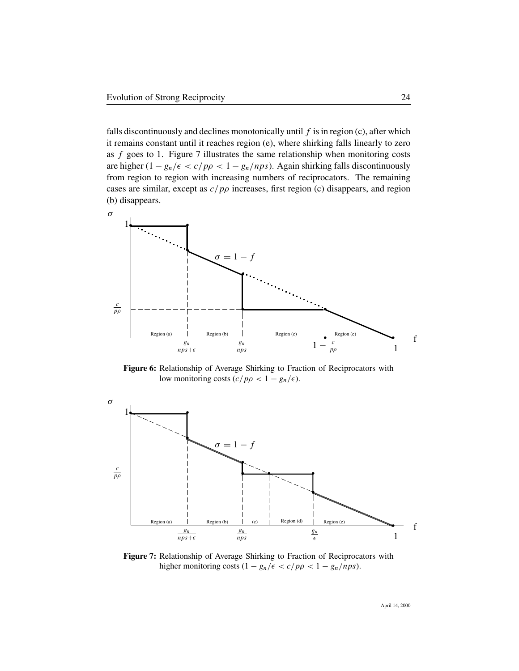falls discontinuously and declines monotonically until  $f$  is in region (c), after which it remains constant until it reaches region (e), where shirking falls linearly to zero as  $f$  goes to 1. Figure 7 illustrates the same relationship when monitoring costs are higher  $(1 - g_n/\epsilon < c/p\rho < 1 - g_n/nps)$ . Again shirking falls discontinuously from region to region with increasing numbers of reciprocators. The remaining cases are similar, except as  $c/p\rho$  increases, first region (c) disappears, and region (b) disappears.



**Figure 6:** Relationship of Average Shirking to Fraction of Reciprocators with low monitoring costs  $(c/p\rho < 1 - g_n/\epsilon)$ .



**Figure 7:** Relationship of Average Shirking to Fraction of Reciprocators with higher monitoring costs  $(1 - g_n/\epsilon < c/p\rho < 1 - g_n/nps)$ .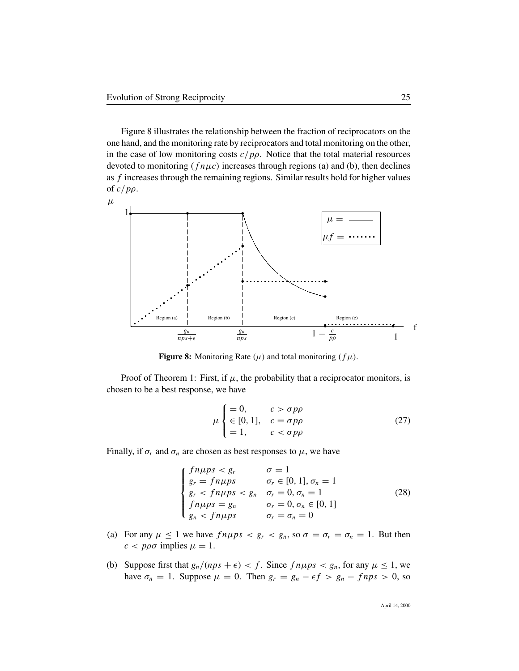Figure 8 illustrates the relationship between the fraction of reciprocators on the one hand, and the monitoring rate by reciprocators and total monitoring on the other, in the case of low monitoring costs  $c/p\rho$ . Notice that the total material resources devoted to monitoring  $(f \nvert \mu c)$  increases through regions (a) and (b), then declines as f increases through the remaining regions. Similar results hold for higher values of  $c/p\rho$ .



**Figure 8:** Monitoring Rate  $(\mu)$  and total monitoring  $(f\mu)$ .

Proof of Theorem 1: First, if  $\mu$ , the probability that a reciprocator monitors, is chosen to be a best response, we have

$$
\mu \begin{cases} = 0, & c > \sigma p \rho \\ \in [0, 1], & c = \sigma p \rho \\ = 1, & c < \sigma p \rho \end{cases}
$$
 (27)

Finally, if  $\sigma_r$  and  $\sigma_n$  are chosen as best responses to  $\mu$ , we have

$$
\begin{cases}\nfn\mu ps < g_r & \sigma = 1 \\
g_r = f n \mu ps & \sigma_r \in [0, 1], \sigma_n = 1 \\
g_r < f n \mu ps < g_n & \sigma_r = 0, \sigma_n = 1 \\
f n \mu ps = g_n & \sigma_r = 0, \sigma_n \in [0, 1] \\
g_n < f n \mu ps & \sigma_r = \sigma_n = 0\n\end{cases} \tag{28}
$$

- (a) For any  $\mu \le 1$  we have  $fn\mu ps < g_r < g_n$ , so  $\sigma = \sigma_r = \sigma_n = 1$ . But then  $c < p \rho \sigma$  implies  $\mu = 1$ .
- (b) Suppose first that  $g_n/(nps + \epsilon) < f$ . Since  $fn\mu ps < g_n$ , for any  $\mu \le 1$ , we have  $\sigma_n = 1$ . Suppose  $\mu = 0$ . Then  $g_r = g_n - \epsilon f > g_n - f n p s > 0$ , so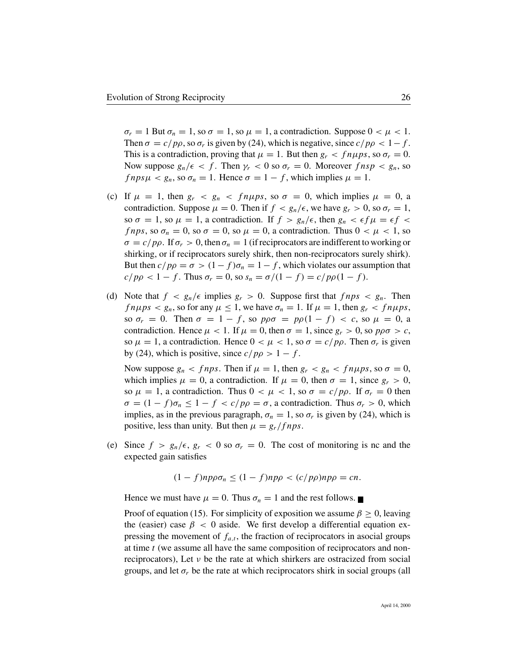$\sigma_r = 1$  But  $\sigma_n = 1$ , so  $\sigma = 1$ , so  $\mu = 1$ , a contradiction. Suppose  $0 < \mu < 1$ . Then  $\sigma = c/p\rho$ , so  $\sigma_r$  is given by (24), which is negative, since  $c/p\rho < 1-f$ . This is a contradiction, proving that  $\mu = 1$ . But then  $g_r < f n \mu ps$ , so  $\sigma_r = 0$ . Now suppose  $g_n/\epsilon < f$ . Then  $\gamma_r < 0$  so  $\sigma_r = 0$ . Moreover  $f n s p < g_n$ , so  $f nps \mu < g_n$ , so  $\sigma_n = 1$ . Hence  $\sigma = 1 - f$ , which implies  $\mu = 1$ .

- (c) If  $\mu = 1$ , then  $g_r < g_n < f_n \mu ps$ , so  $\sigma = 0$ , which implies  $\mu = 0$ , a contradiction. Suppose  $\mu = 0$ . Then if  $f < g_n/\epsilon$ , we have  $g_r > 0$ , so  $\sigma_r = 1$ , so  $\sigma = 1$ , so  $\mu = 1$ , a contradiction. If  $f > g_n/\epsilon$ , then  $g_n < \epsilon f \mu = \epsilon f$ *f nps*, so  $\sigma_n = 0$ , so  $\sigma = 0$ , so  $\mu = 0$ , a contradiction. Thus  $0 < \mu < 1$ , so  $\sigma = c/p\rho$ . If  $\sigma_r > 0$ , then  $\sigma_n = 1$  (if reciprocators are indifferent to working or shirking, or if reciprocators surely shirk, then non-reciprocators surely shirk). But then  $c/p\rho = \sigma > (1-f)\sigma_n = 1-f$ , which violates our assumption that  $c/p\rho < 1 - f$ . Thus  $\sigma_r = 0$ , so  $s_n = \frac{\sigma}{1 - f} = \frac{c}{p\rho(1 - f)}$ .
- (d) Note that  $f < g_n/\epsilon$  implies  $g_r > 0$ . Suppose first that  $f nps < g_n$ . Then  $f n \mu p s < g_n$ , so for any  $\mu \le 1$ , we have  $\sigma_n = 1$ . If  $\mu = 1$ , then  $g_r < f n \mu p s$ , so  $\sigma_r = 0$ . Then  $\sigma = 1 - f$ , so  $p\rho\sigma = p\rho(1 - f) < c$ , so  $\mu = 0$ , a contradiction. Hence  $\mu < 1$ . If  $\mu = 0$ , then  $\sigma = 1$ , since  $g_r > 0$ , so  $p\rho\sigma > c$ , so  $\mu = 1$ , a contradiction. Hence  $0 < \mu < 1$ , so  $\sigma = c/p\rho$ . Then  $\sigma_r$  is given by (24), which is positive, since  $c/p\rho > 1 - f$ .

Now suppose  $g_n < f$ nps. Then if  $\mu = 1$ , then  $g_r < g_n < f$ n $\mu$ ps, so  $\sigma = 0$ , which implies  $\mu = 0$ , a contradiction. If  $\mu = 0$ , then  $\sigma = 1$ , since  $g_r > 0$ , so  $\mu = 1$ , a contradiction. Thus  $0 < \mu < 1$ , so  $\sigma = c/p\rho$ . If  $\sigma_r = 0$  then  $\sigma = (1 - f)\sigma_n \leq 1 - f < c/p\rho = \sigma$ , a contradiction. Thus  $\sigma_r > 0$ , which implies, as in the previous paragraph,  $\sigma_n = 1$ , so  $\sigma_r$  is given by (24), which is positive, less than unity. But then  $\mu = g_r/fnps$ .

(e) Since  $f > g_n/\epsilon$ ,  $g_r < 0$  so  $\sigma_r = 0$ . The cost of monitoring is nc and the expected gain satisfies

$$
(1 - f)np\rho\sigma_n \le (1 - f)np\rho < (c/p\rho)np\rho = cn.
$$

Hence we must have  $\mu = 0$ . Thus  $\sigma_n = 1$  and the rest follows.

Proof of equation (15). For simplicity of exposition we assume  $\beta \geq 0$ , leaving the (easier) case  $\beta < 0$  aside. We first develop a differential equation expressing the movement of  $f_{a,t}$ , the fraction of reciprocators in asocial groups at time t (we assume all have the same composition of reciprocators and nonreciprocators), Let  $\nu$  be the rate at which shirkers are ostracized from social groups, and let  $\sigma_r$  be the rate at which reciprocators shirk in social groups (all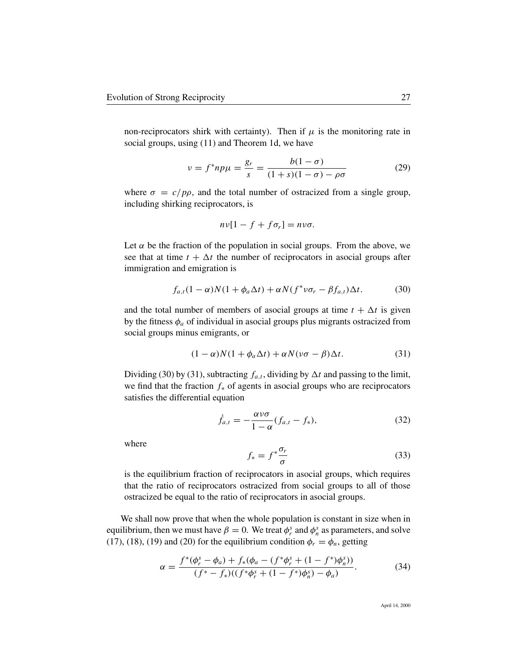non-reciprocators shirk with certainty). Then if  $\mu$  is the monitoring rate in social groups, using (11) and Theorem 1d, we have

$$
\nu = f^* np\mu = \frac{g_r}{s} = \frac{b(1-\sigma)}{(1+s)(1-\sigma) - \rho\sigma}
$$
 (29)

where  $\sigma = c/p\rho$ , and the total number of ostracized from a single group, including shirking reciprocators, is

$$
nv[1-f+f\sigma_r]=nv\sigma.
$$

Let  $\alpha$  be the fraction of the population in social groups. From the above, we see that at time  $t + \Delta t$  the number of reciprocators in asocial groups after immigration and emigration is

$$
f_{a,t}(1-\alpha)N(1+\phi_a\Delta t)+\alpha N(f^*\nu\sigma_r-\beta f_{a,t})\Delta t.
$$
 (30)

and the total number of members of asocial groups at time  $t + \Delta t$  is given by the fitness  $\phi_a$  of individual in asocial groups plus migrants ostracized from social groups minus emigrants, or

$$
(1 - \alpha)N(1 + \phi_a \Delta t) + \alpha N(\nu \sigma - \beta) \Delta t.
$$
 (31)

Dividing (30) by (31), subtracting  $f_{a,t}$ , dividing by  $\Delta t$  and passing to the limit, we find that the fraction  $f_*$  of agents in asocial groups who are reciprocators satisfies the differential equation

$$
\dot{f}_{a,t} = -\frac{\alpha v \sigma}{1 - \alpha} (f_{a,t} - f_*) \tag{32}
$$

where

$$
f_* = f^* \frac{\sigma_r}{\sigma} \tag{33}
$$

is the equilibrium fraction of reciprocators in asocial groups, which requires that the ratio of reciprocators ostracized from social groups to all of those ostracized be equal to the ratio of reciprocators in asocial groups.

We shall now prove that when the whole population is constant in size when in equilibrium, then we must have  $\beta = 0$ . We treat  $\phi_r^s$  and  $\phi_n^s$  as parameters, and solve (17), (18), (19) and (20) for the equilibrium condition  $\phi_r = \phi_n$ , getting

$$
\alpha = \frac{f^*(\phi_r^s - \phi_a) + f_*(\phi_a - (f^*\phi_r^s + (1 - f^*)\phi_n^s))}{(f^* - f_*)( (f^*\phi_r^s + (1 - f^*)\phi_n^s) - \phi_a)}.
$$
(34)

April 14, 2000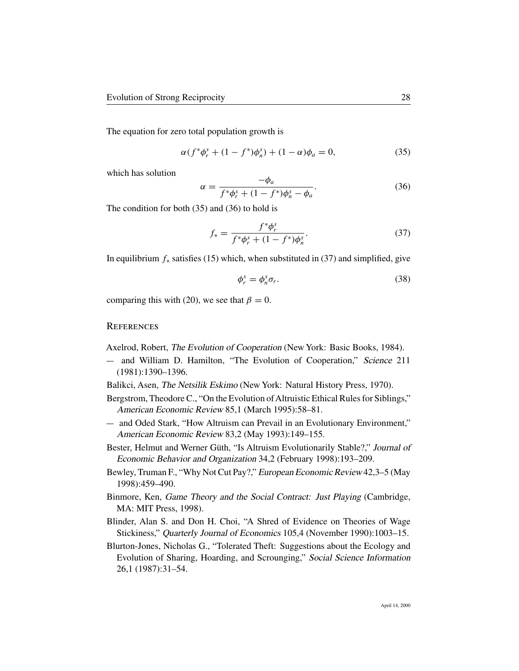The equation for zero total population growth is

$$
\alpha(f^*\phi^s_r + (1 - f^*)\phi^s_n) + (1 - \alpha)\phi_a = 0,
$$
\n(35)

which has solution

$$
\alpha = \frac{-\phi_a}{f^*\phi_r^s + (1 - f^*)\phi_n^s - \phi_a}.
$$
\n(36)

The condition for both (35) and (36) to hold is

$$
f_* = \frac{f^* \phi_r^s}{f^* \phi_r^s + (1 - f^*) \phi_n^s}.
$$
\n(37)

In equilibrium  $f_*$  satisfies (15) which, when substituted in (37) and simplified, give

$$
\phi_r^s = \phi_n^s \sigma_r. \tag{38}
$$

comparing this with (20), we see that  $\beta = 0$ .

#### **REFERENCES**

Axelrod, Robert, The Evolution of Cooperation (New York: Basic Books, 1984).

- and William D. Hamilton, "The Evolution of Cooperation," Science 211 (1981):1390–1396.
- Balikci, Asen, The Netsilik Eskimo (New York: Natural History Press, 1970).
- Bergstrom, Theodore C., "On the Evolution of Altruistic Ethical Rules for Siblings," American Economic Review 85,1 (March 1995):58–81.
- and Oded Stark, "How Altruism can Prevail in an Evolutionary Environment," American Economic Review 83,2 (May 1993):149–155.
- Bester, Helmut and Werner Güth, "Is Altruism Evolutionarily Stable?," Journal of Economic Behavior and Organization 34,2 (February 1998):193–209.
- Bewley, Truman F., "Why Not Cut Pay?," European Economic Review 42,3–5 (May 1998):459–490.
- Binmore, Ken, Game Theory and the Social Contract: Just Playing (Cambridge, MA: MIT Press, 1998).
- Blinder, Alan S. and Don H. Choi, "A Shred of Evidence on Theories of Wage Stickiness," Quarterly Journal of Economics 105,4 (November 1990):1003–15.
- Blurton-Jones, Nicholas G., "Tolerated Theft: Suggestions about the Ecology and Evolution of Sharing, Hoarding, and Scrounging," Social Science Information 26,1 (1987):31–54.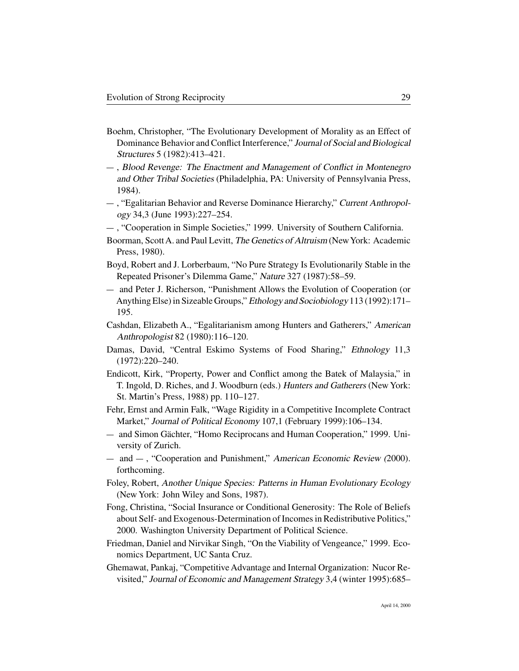- Boehm, Christopher, "The Evolutionary Development of Morality as an Effect of Dominance Behavior and Conflict Interference," Journal of Social and Biological Structures 5 (1982):413–421.
- , Blood Revenge: The Enactment and Management of Conflict in Montenegro and Other Tribal Societies (Philadelphia, PA: University of Pennsylvania Press, 1984).
- , "Egalitarian Behavior and Reverse Dominance Hierarchy," Current Anthropology 34,3 (June 1993):227–254.
- , "Cooperation in Simple Societies," 1999. University of Southern California.
- Boorman, Scott A. and Paul Levitt, The Genetics of Altruism (NewYork: Academic Press, 1980).
- Boyd, Robert and J. Lorberbaum, "No Pure Strategy Is Evolutionarily Stable in the Repeated Prisoner's Dilemma Game," Nature 327 (1987):58–59.
- and Peter J. Richerson, "Punishment Allows the Evolution of Cooperation (or Anything Else) in Sizeable Groups," Ethology and Sociobiology 113 (1992):171– 195.
- Cashdan, Elizabeth A., "Egalitarianism among Hunters and Gatherers," American Anthropologist 82 (1980):116–120.
- Damas, David, "Central Eskimo Systems of Food Sharing," Ethnology 11,3 (1972):220–240.
- Endicott, Kirk, "Property, Power and Conflict among the Batek of Malaysia," in T. Ingold, D. Riches, and J. Woodburn (eds.) Hunters and Gatherers (New York: St. Martin's Press, 1988) pp. 110–127.
- Fehr, Ernst and Armin Falk, "Wage Rigidity in a Competitive Incomplete Contract Market," Journal of Political Economy 107,1 (February 1999):106–134.
- and Simon Gächter, "Homo Reciprocans and Human Cooperation," 1999. University of Zurich.
- $-$  and  $-$ , "Cooperation and Punishment," American Economic Review (2000). forthcoming.
- Foley, Robert, Another Unique Species: Patterns in Human Evolutionary Ecology (New York: John Wiley and Sons, 1987).
- Fong, Christina, "Social Insurance or Conditional Generosity: The Role of Beliefs about Self- and Exogenous-Determination of Incomes in Redistributive Politics," 2000. Washington University Department of Political Science.
- Friedman, Daniel and Nirvikar Singh, "On the Viability of Vengeance," 1999. Economics Department, UC Santa Cruz.
- Ghemawat, Pankaj, "Competitive Advantage and Internal Organization: Nucor Revisited," Journal of Economic and Management Strategy 3,4 (winter 1995):685–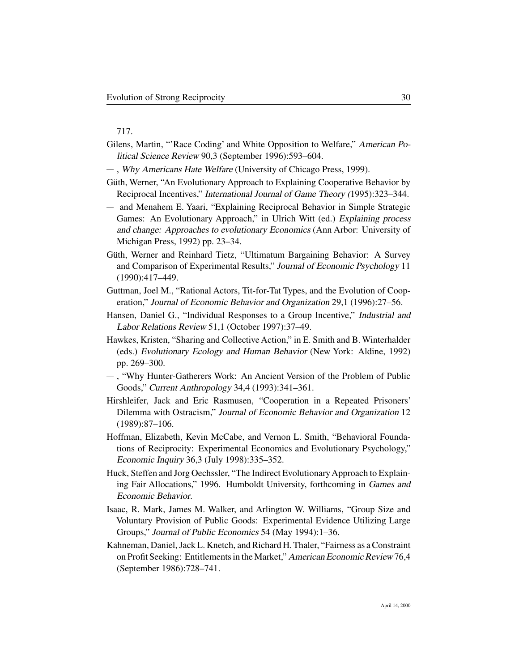#### 717.

- Gilens, Martin, "'Race Coding' and White Opposition to Welfare," American Political Science Review 90,3 (September 1996):593–604.
- , Why Americans Hate Welfare (University of Chicago Press, 1999).
- Güth, Werner, "An Evolutionary Approach to Explaining Cooperative Behavior by Reciprocal Incentives," International Journal of Game Theory (1995):323–344.
- and Menahem E. Yaari, "Explaining Reciprocal Behavior in Simple Strategic Games: An Evolutionary Approach," in Ulrich Witt (ed.) Explaining process and change: Approaches to evolutionary Economics (Ann Arbor: University of Michigan Press, 1992) pp. 23–34.
- Güth, Werner and Reinhard Tietz, "Ultimatum Bargaining Behavior: A Survey and Comparison of Experimental Results," Journal of Economic Psychology 11 (1990):417–449.
- Guttman, Joel M., "Rational Actors, Tit-for-Tat Types, and the Evolution of Cooperation," Journal of Economic Behavior and Organization 29,1 (1996):27–56.
- Hansen, Daniel G., "Individual Responses to a Group Incentive," Industrial and Labor Relations Review 51,1 (October 1997):37–49.
- Hawkes, Kristen, "Sharing and Collective Action," in E. Smith and B. Winterhalder (eds.) Evolutionary Ecology and Human Behavior (New York: Aldine, 1992) pp. 269–300.
- , "Why Hunter-Gatherers Work: An Ancient Version of the Problem of Public Goods," Current Anthropology 34,4 (1993):341–361.
- Hirshleifer, Jack and Eric Rasmusen, "Cooperation in a Repeated Prisoners' Dilemma with Ostracism," Journal of Economic Behavior and Organization 12 (1989):87–106.
- Hoffman, Elizabeth, Kevin McCabe, and Vernon L. Smith, "Behavioral Foundations of Reciprocity: Experimental Economics and Evolutionary Psychology," Economic Inquiry 36,3 (July 1998):335–352.
- Huck, Steffen and Jorg Oechssler, "The Indirect Evolutionary Approach to Explaining Fair Allocations," 1996. Humboldt University, forthcoming in Games and Economic Behavior.
- Isaac, R. Mark, James M. Walker, and Arlington W. Williams, "Group Size and Voluntary Provision of Public Goods: Experimental Evidence Utilizing Large Groups," Journal of Public Economics 54 (May 1994):1–36.
- Kahneman, Daniel, Jack L. Knetch, and Richard H. Thaler, "Fairness as a Constraint on Profit Seeking: Entitlements in the Market," American Economic Review 76,4 (September 1986):728–741.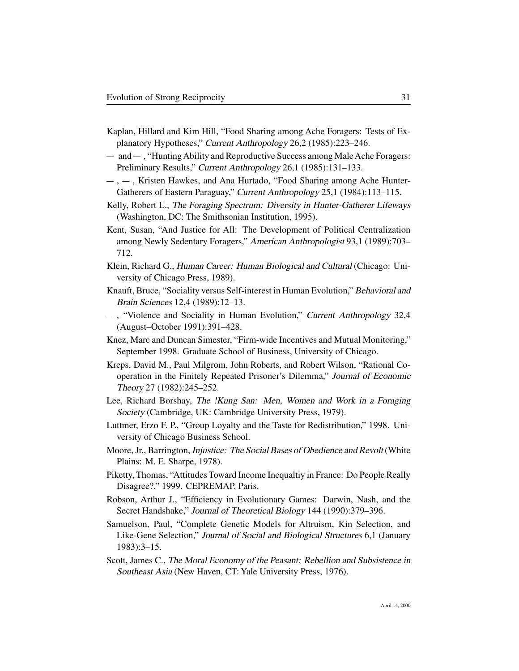- Kaplan, Hillard and Kim Hill, "Food Sharing among Ache Foragers: Tests of Explanatory Hypotheses," Current Anthropology 26,2 (1985):223–246.
- $-$  and  $-$ , "Hunting Ability and Reproductive Success among Male Ache Foragers: Preliminary Results," Current Anthropology 26,1 (1985):131–133.
- $-$ ,  $-$ , Kristen Hawkes, and Ana Hurtado, "Food Sharing among Ache Hunter-Gatherers of Eastern Paraguay," Current Anthropology 25,1 (1984):113–115.
- Kelly, Robert L., The Foraging Spectrum: Diversity in Hunter-Gatherer Lifeways (Washington, DC: The Smithsonian Institution, 1995).
- Kent, Susan, "And Justice for All: The Development of Political Centralization among Newly Sedentary Foragers," American Anthropologist 93,1 (1989):703– 712.
- Klein, Richard G., Human Career: Human Biological and Cultural (Chicago: University of Chicago Press, 1989).
- Knauft, Bruce, "Sociality versus Self-interest in Human Evolution," Behavioral and Brain Sciences 12,4 (1989):12–13.
- , "Violence and Sociality in Human Evolution," Current Anthropology 32,4 (August–October 1991):391–428.
- Knez, Marc and Duncan Simester, "Firm-wide Incentives and Mutual Monitoring," September 1998. Graduate School of Business, University of Chicago.
- Kreps, David M., Paul Milgrom, John Roberts, and Robert Wilson, "Rational Cooperation in the Finitely Repeated Prisoner's Dilemma," Journal of Economic Theory 27 (1982):245–252.
- Lee, Richard Borshay, The !Kung San: Men, Women and Work in a Foraging Society (Cambridge, UK: Cambridge University Press, 1979).
- Luttmer, Erzo F. P., "Group Loyalty and the Taste for Redistribution," 1998. University of Chicago Business School.
- Moore, Jr., Barrington, Injustice: The Social Bases of Obedience and Revolt (White Plains: M. E. Sharpe, 1978).
- Piketty, Thomas, "Attitudes Toward Income Inequaltiy in France: Do People Really Disagree?," 1999. CEPREMAP, Paris.
- Robson, Arthur J., "Efficiency in Evolutionary Games: Darwin, Nash, and the Secret Handshake," Journal of Theoretical Biology 144 (1990):379–396.
- Samuelson, Paul, "Complete Genetic Models for Altruism, Kin Selection, and Like-Gene Selection," Journal of Social and Biological Structures 6,1 (January 1983):3–15.
- Scott, James C., The Moral Economy of the Peasant: Rebellion and Subsistence in Southeast Asia (New Haven, CT: Yale University Press, 1976).